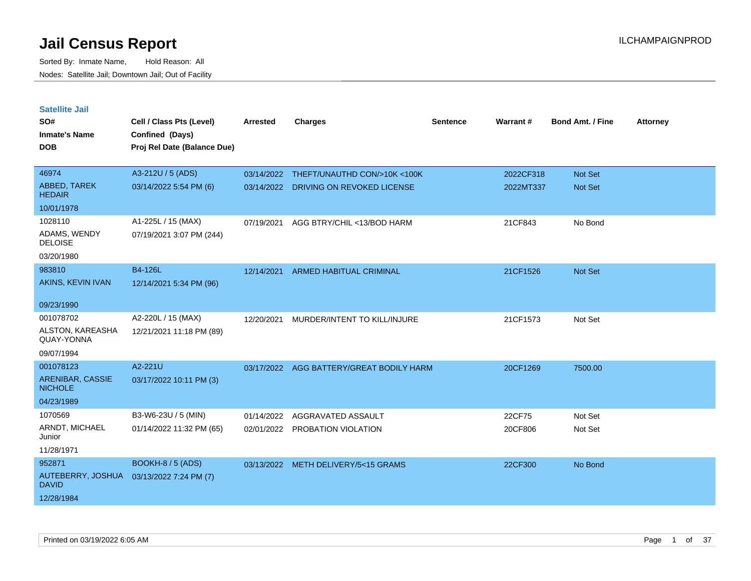| <b>Satellite Jail</b>              |                             |                 |                                          |          |           |                         |                 |
|------------------------------------|-----------------------------|-----------------|------------------------------------------|----------|-----------|-------------------------|-----------------|
| SO#                                | Cell / Class Pts (Level)    | <b>Arrested</b> | <b>Charges</b>                           | Sentence | Warrant#  | <b>Bond Amt. / Fine</b> | <b>Attorney</b> |
| <b>Inmate's Name</b>               | Confined (Days)             |                 |                                          |          |           |                         |                 |
| <b>DOB</b>                         | Proj Rel Date (Balance Due) |                 |                                          |          |           |                         |                 |
|                                    |                             |                 |                                          |          |           |                         |                 |
| 46974                              | A3-212U / 5 (ADS)           | 03/14/2022      | THEFT/UNAUTHD CON/>10K <100K             |          | 2022CF318 | Not Set                 |                 |
| ABBED, TAREK<br><b>HEDAIR</b>      | 03/14/2022 5:54 PM (6)      |                 | 03/14/2022 DRIVING ON REVOKED LICENSE    |          | 2022MT337 | Not Set                 |                 |
| 10/01/1978                         |                             |                 |                                          |          |           |                         |                 |
| 1028110                            | A1-225L / 15 (MAX)          | 07/19/2021      | AGG BTRY/CHIL <13/BOD HARM               |          | 21CF843   | No Bond                 |                 |
| ADAMS, WENDY<br><b>DELOISE</b>     | 07/19/2021 3:07 PM (244)    |                 |                                          |          |           |                         |                 |
| 03/20/1980                         |                             |                 |                                          |          |           |                         |                 |
| 983810                             | B4-126L                     | 12/14/2021      | <b>ARMED HABITUAL CRIMINAL</b>           |          | 21CF1526  | Not Set                 |                 |
| AKINS, KEVIN IVAN                  | 12/14/2021 5:34 PM (96)     |                 |                                          |          |           |                         |                 |
|                                    |                             |                 |                                          |          |           |                         |                 |
| 09/23/1990                         |                             |                 |                                          |          |           |                         |                 |
| 001078702                          | A2-220L / 15 (MAX)          | 12/20/2021      | MURDER/INTENT TO KILL/INJURE             |          | 21CF1573  | Not Set                 |                 |
| ALSTON, KAREASHA<br>QUAY-YONNA     | 12/21/2021 11:18 PM (89)    |                 |                                          |          |           |                         |                 |
| 09/07/1994                         |                             |                 |                                          |          |           |                         |                 |
| 001078123                          | A2-221U                     |                 | 03/17/2022 AGG BATTERY/GREAT BODILY HARM |          | 20CF1269  | 7500.00                 |                 |
| ARENIBAR, CASSIE<br><b>NICHOLE</b> | 03/17/2022 10:11 PM (3)     |                 |                                          |          |           |                         |                 |
| 04/23/1989                         |                             |                 |                                          |          |           |                         |                 |
| 1070569                            | B3-W6-23U / 5 (MIN)         | 01/14/2022      | AGGRAVATED ASSAULT                       |          | 22CF75    | Not Set                 |                 |
| ARNDT, MICHAEL<br>Junior           | 01/14/2022 11:32 PM (65)    |                 | 02/01/2022 PROBATION VIOLATION           |          | 20CF806   | Not Set                 |                 |
| 11/28/1971                         |                             |                 |                                          |          |           |                         |                 |
| 952871                             | BOOKH-8 / 5 (ADS)           |                 | 03/13/2022 METH DELIVERY/5<15 GRAMS      |          | 22CF300   | No Bond                 |                 |
| AUTEBERRY, JOSHUA<br><b>DAVID</b>  | 03/13/2022 7:24 PM (7)      |                 |                                          |          |           |                         |                 |
| 12/28/1984                         |                             |                 |                                          |          |           |                         |                 |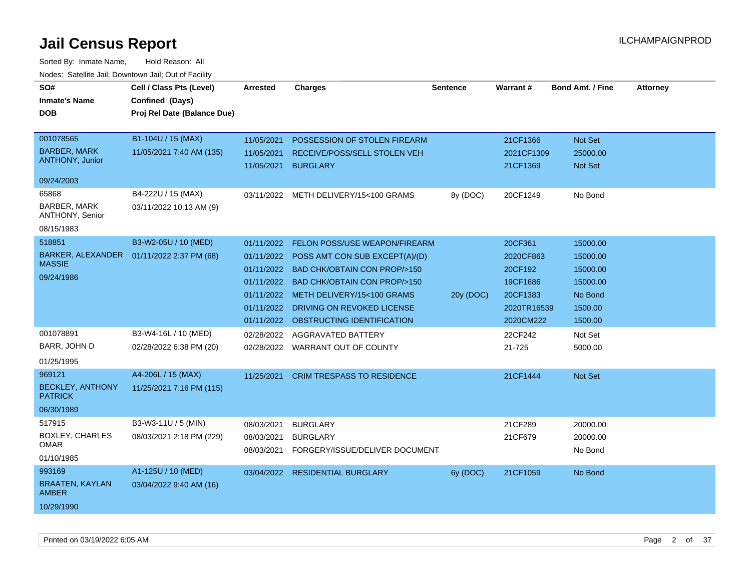| SO#                                    | Cell / Class Pts (Level)    | <b>Arrested</b> | <b>Charges</b>                         | <b>Sentence</b> | Warrant#    | <b>Bond Amt. / Fine</b> | <b>Attorney</b> |
|----------------------------------------|-----------------------------|-----------------|----------------------------------------|-----------------|-------------|-------------------------|-----------------|
| <b>Inmate's Name</b>                   | Confined (Days)             |                 |                                        |                 |             |                         |                 |
| <b>DOB</b>                             | Proj Rel Date (Balance Due) |                 |                                        |                 |             |                         |                 |
|                                        |                             |                 |                                        |                 |             |                         |                 |
| 001078565                              | B1-104U / 15 (MAX)          | 11/05/2021      | POSSESSION OF STOLEN FIREARM           |                 | 21CF1366    | Not Set                 |                 |
| <b>BARBER, MARK</b>                    | 11/05/2021 7:40 AM (135)    | 11/05/2021      | RECEIVE/POSS/SELL STOLEN VEH           |                 | 2021CF1309  | 25000.00                |                 |
| ANTHONY, Junior                        |                             | 11/05/2021      | <b>BURGLARY</b>                        |                 | 21CF1369    | Not Set                 |                 |
| 09/24/2003                             |                             |                 |                                        |                 |             |                         |                 |
| 65868                                  | B4-222U / 15 (MAX)          |                 | 03/11/2022 METH DELIVERY/15<100 GRAMS  | 8y (DOC)        | 20CF1249    | No Bond                 |                 |
| <b>BARBER, MARK</b><br>ANTHONY, Senior | 03/11/2022 10:13 AM (9)     |                 |                                        |                 |             |                         |                 |
| 08/15/1983                             |                             |                 |                                        |                 |             |                         |                 |
| 518851                                 | B3-W2-05U / 10 (MED)        | 01/11/2022      | FELON POSS/USE WEAPON/FIREARM          |                 | 20CF361     | 15000.00                |                 |
| BARKER, ALEXANDER                      | 01/11/2022 2:37 PM (68)     | 01/11/2022      | POSS AMT CON SUB EXCEPT(A)/(D)         |                 | 2020CF863   | 15000.00                |                 |
| <b>MASSIE</b>                          |                             | 01/11/2022      | <b>BAD CHK/OBTAIN CON PROP/&gt;150</b> |                 | 20CF192     | 15000.00                |                 |
| 09/24/1986                             |                             | 01/11/2022      | <b>BAD CHK/OBTAIN CON PROP/&gt;150</b> |                 | 19CF1686    | 15000.00                |                 |
|                                        |                             | 01/11/2022      | METH DELIVERY/15<100 GRAMS             | 20y (DOC)       | 20CF1383    | No Bond                 |                 |
|                                        |                             | 01/11/2022      | DRIVING ON REVOKED LICENSE             |                 | 2020TR16539 | 1500.00                 |                 |
|                                        |                             | 01/11/2022      | OBSTRUCTING IDENTIFICATION             |                 | 2020CM222   | 1500.00                 |                 |
| 001078891                              | B3-W4-16L / 10 (MED)        | 02/28/2022      | AGGRAVATED BATTERY                     |                 | 22CF242     | Not Set                 |                 |
| BARR, JOHN D                           | 02/28/2022 6:38 PM (20)     |                 | 02/28/2022 WARRANT OUT OF COUNTY       |                 | 21-725      | 5000.00                 |                 |
| 01/25/1995                             |                             |                 |                                        |                 |             |                         |                 |
| 969121                                 | A4-206L / 15 (MAX)          |                 |                                        |                 |             |                         |                 |
| <b>BECKLEY, ANTHONY</b>                |                             | 11/25/2021      | <b>CRIM TRESPASS TO RESIDENCE</b>      |                 | 21CF1444    | <b>Not Set</b>          |                 |
| <b>PATRICK</b>                         | 11/25/2021 7:16 PM (115)    |                 |                                        |                 |             |                         |                 |
| 06/30/1989                             |                             |                 |                                        |                 |             |                         |                 |
| 517915                                 | B3-W3-11U / 5 (MIN)         | 08/03/2021      | <b>BURGLARY</b>                        |                 | 21CF289     | 20000.00                |                 |
| <b>BOXLEY, CHARLES</b>                 | 08/03/2021 2:18 PM (229)    | 08/03/2021      | <b>BURGLARY</b>                        |                 | 21CF679     | 20000.00                |                 |
| <b>OMAR</b>                            |                             | 08/03/2021      | FORGERY/ISSUE/DELIVER DOCUMENT         |                 |             | No Bond                 |                 |
| 01/10/1985                             |                             |                 |                                        |                 |             |                         |                 |
| 993169                                 | A1-125U / 10 (MED)          |                 | 03/04/2022 RESIDENTIAL BURGLARY        | 6y (DOC)        | 21CF1059    | No Bond                 |                 |
| <b>BRAATEN, KAYLAN</b><br><b>AMBER</b> | 03/04/2022 9:40 AM (16)     |                 |                                        |                 |             |                         |                 |
| 10/29/1990                             |                             |                 |                                        |                 |             |                         |                 |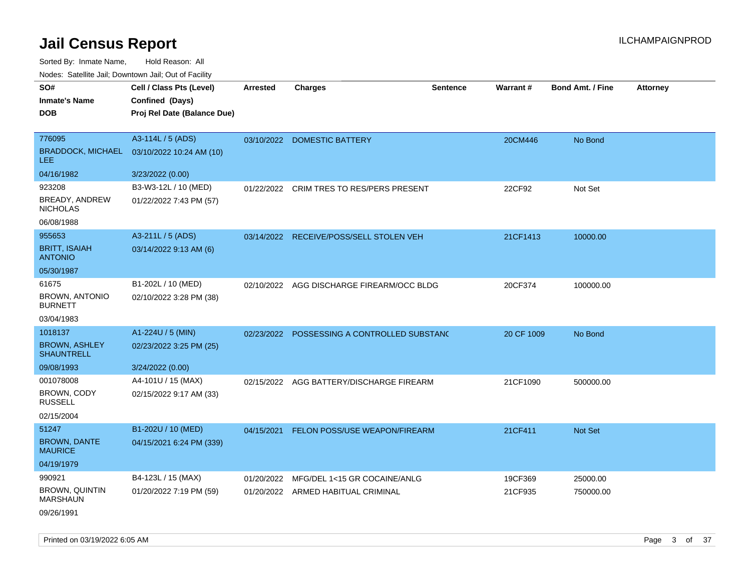| SO#<br><b>Inmate's Name</b><br><b>DOB</b>                | Cell / Class Pts (Level)<br>Confined (Days)<br>Proj Rel Date (Balance Due) | <b>Arrested</b> | <b>Charges</b>                           | Sentence | <b>Warrant#</b> | <b>Bond Amt. / Fine</b> | <b>Attorney</b> |
|----------------------------------------------------------|----------------------------------------------------------------------------|-----------------|------------------------------------------|----------|-----------------|-------------------------|-----------------|
| 776095<br><b>BRADDOCK, MICHAEL</b><br><b>LEE</b>         | A3-114L / 5 (ADS)<br>03/10/2022 10:24 AM (10)                              | 03/10/2022      | <b>DOMESTIC BATTERY</b>                  |          | 20CM446         | No Bond                 |                 |
| 04/16/1982                                               | 3/23/2022 (0.00)                                                           |                 |                                          |          |                 |                         |                 |
| 923208<br>BREADY, ANDREW<br><b>NICHOLAS</b>              | B3-W3-12L / 10 (MED)<br>01/22/2022 7:43 PM (57)                            | 01/22/2022      | CRIM TRES TO RES/PERS PRESENT            |          | 22CF92          | Not Set                 |                 |
| 06/08/1988                                               |                                                                            |                 |                                          |          |                 |                         |                 |
| 955653<br><b>BRITT, ISAIAH</b><br><b>ANTONIO</b>         | A3-211L / 5 (ADS)<br>03/14/2022 9:13 AM (6)                                |                 | 03/14/2022 RECEIVE/POSS/SELL STOLEN VEH  |          | 21CF1413        | 10000.00                |                 |
| 05/30/1987                                               |                                                                            |                 |                                          |          |                 |                         |                 |
| 61675<br><b>BROWN, ANTONIO</b><br><b>BURNETT</b>         | B1-202L / 10 (MED)<br>02/10/2022 3:28 PM (38)                              | 02/10/2022      | AGG DISCHARGE FIREARM/OCC BLDG           |          | 20CF374         | 100000.00               |                 |
| 03/04/1983                                               |                                                                            |                 |                                          |          |                 |                         |                 |
| 1018137<br><b>BROWN, ASHLEY</b><br><b>SHAUNTRELL</b>     | A1-224U / 5 (MIN)<br>02/23/2022 3:25 PM (25)                               | 02/23/2022      | POSSESSING A CONTROLLED SUBSTANC         |          | 20 CF 1009      | No Bond                 |                 |
| 09/08/1993                                               | 3/24/2022 (0.00)                                                           |                 |                                          |          |                 |                         |                 |
| 001078008<br>BROWN, CODY<br><b>RUSSELL</b><br>02/15/2004 | A4-101U / 15 (MAX)<br>02/15/2022 9:17 AM (33)                              | 02/15/2022      | AGG BATTERY/DISCHARGE FIREARM            |          | 21CF1090        | 500000.00               |                 |
| 51247                                                    | B1-202U / 10 (MED)                                                         |                 | 04/15/2021 FELON POSS/USE WEAPON/FIREARM |          | 21CF411         | Not Set                 |                 |
| <b>BROWN, DANTE</b><br><b>MAURICE</b>                    | 04/15/2021 6:24 PM (339)                                                   |                 |                                          |          |                 |                         |                 |
| 04/19/1979                                               |                                                                            |                 |                                          |          |                 |                         |                 |
| 990921                                                   | B4-123L / 15 (MAX)                                                         | 01/20/2022      | MFG/DEL 1<15 GR COCAINE/ANLG             |          | 19CF369         | 25000.00                |                 |
| <b>BROWN, QUINTIN</b><br><b>MARSHAUN</b><br>09/26/1991   | 01/20/2022 7:19 PM (59)                                                    |                 | 01/20/2022 ARMED HABITUAL CRIMINAL       |          | 21CF935         | 750000.00               |                 |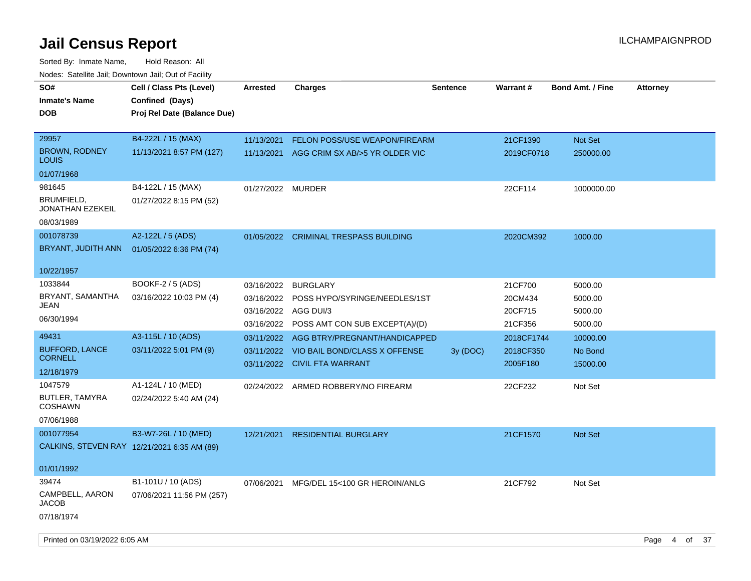| SO#<br><b>Inmate's Name</b><br>DOB                 | Cell / Class Pts (Level)<br>Confined (Days)<br>Proj Rel Date (Balance Due) | <b>Arrested</b>                                      | <b>Charges</b>                                                                                  | <b>Sentence</b> | <b>Warrant#</b>                          | <b>Bond Amt. / Fine</b>                  | <b>Attorney</b> |
|----------------------------------------------------|----------------------------------------------------------------------------|------------------------------------------------------|-------------------------------------------------------------------------------------------------|-----------------|------------------------------------------|------------------------------------------|-----------------|
| 29957<br><b>BROWN, RODNEY</b><br>LOUIS             | B4-222L / 15 (MAX)<br>11/13/2021 8:57 PM (127)                             | 11/13/2021<br>11/13/2021                             | <b>FELON POSS/USE WEAPON/FIREARM</b><br>AGG CRIM SX AB/>5 YR OLDER VIC                          |                 | 21CF1390<br>2019CF0718                   | Not Set<br>250000.00                     |                 |
| 01/07/1968                                         |                                                                            |                                                      |                                                                                                 |                 |                                          |                                          |                 |
| 981645<br>BRUMFIELD,<br>JONATHAN EZEKEIL           | B4-122L / 15 (MAX)<br>01/27/2022 8:15 PM (52)                              | 01/27/2022 MURDER                                    |                                                                                                 |                 | 22CF114                                  | 1000000.00                               |                 |
| 08/03/1989                                         |                                                                            |                                                      |                                                                                                 |                 |                                          |                                          |                 |
| 001078739<br>BRYANT, JUDITH ANN                    | A2-122L / 5 (ADS)<br>01/05/2022 6:36 PM (74)                               |                                                      | 01/05/2022 CRIMINAL TRESPASS BUILDING                                                           |                 | 2020CM392                                | 1000.00                                  |                 |
| 10/22/1957                                         |                                                                            |                                                      |                                                                                                 |                 |                                          |                                          |                 |
| 1033844<br>BRYANT, SAMANTHA<br>JEAN<br>06/30/1994  | <b>BOOKF-2 / 5 (ADS)</b><br>03/16/2022 10:03 PM (4)                        | 03/16/2022<br>03/16/2022<br>03/16/2022<br>03/16/2022 | <b>BURGLARY</b><br>POSS HYPO/SYRINGE/NEEDLES/1ST<br>AGG DUI/3<br>POSS AMT CON SUB EXCEPT(A)/(D) |                 | 21CF700<br>20CM434<br>20CF715<br>21CF356 | 5000.00<br>5000.00<br>5000.00<br>5000.00 |                 |
| 49431                                              | A3-115L / 10 (ADS)                                                         | 03/11/2022                                           | AGG BTRY/PREGNANT/HANDICAPPED                                                                   |                 | 2018CF1744                               | 10000.00                                 |                 |
| <b>BUFFORD, LANCE</b><br><b>CORNELL</b>            | 03/11/2022 5:01 PM (9)                                                     | 03/11/2022                                           | VIO BAIL BOND/CLASS X OFFENSE<br>03/11/2022 CIVIL FTA WARRANT                                   | 3y (DOC)        | 2018CF350<br>2005F180                    | No Bond<br>15000.00                      |                 |
| 12/18/1979                                         |                                                                            |                                                      |                                                                                                 |                 |                                          |                                          |                 |
| 1047579<br>BUTLER, TAMYRA<br>COSHAWN<br>07/06/1988 | A1-124L / 10 (MED)<br>02/24/2022 5:40 AM (24)                              |                                                      | 02/24/2022 ARMED ROBBERY/NO FIREARM                                                             |                 | 22CF232                                  | Not Set                                  |                 |
| 001077954                                          | B3-W7-26L / 10 (MED)<br>CALKINS, STEVEN RAY 12/21/2021 6:35 AM (89)        | 12/21/2021                                           | <b>RESIDENTIAL BURGLARY</b>                                                                     |                 | 21CF1570                                 | Not Set                                  |                 |
| 01/01/1992                                         |                                                                            |                                                      |                                                                                                 |                 |                                          |                                          |                 |
| 39474<br>CAMPBELL, AARON<br>JACOB<br>07/18/1974    | B1-101U / 10 (ADS)<br>07/06/2021 11:56 PM (257)                            | 07/06/2021                                           | MFG/DEL 15<100 GR HEROIN/ANLG                                                                   |                 | 21CF792                                  | Not Set                                  |                 |
|                                                    |                                                                            |                                                      |                                                                                                 |                 |                                          |                                          |                 |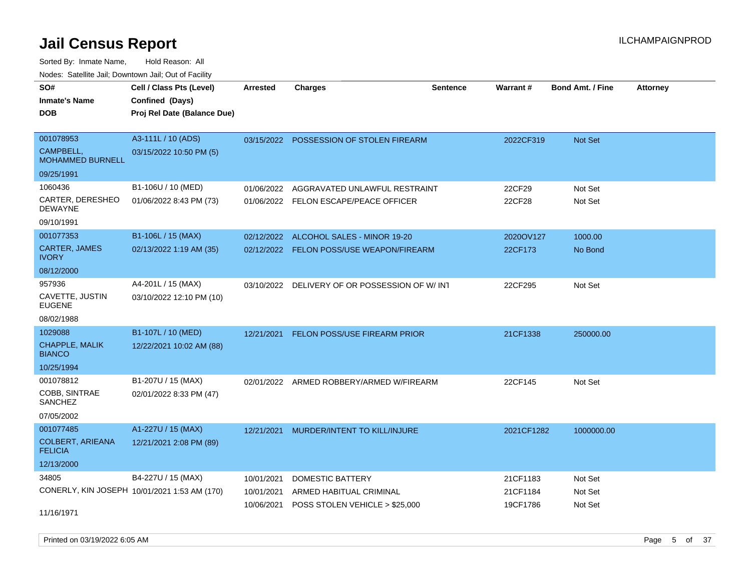Sorted By: Inmate Name, Hold Reason: All

| Nodes: Satellite Jail; Downtown Jail; Out of Facility |                                              |                 |                                               |                 |            |                         |                 |
|-------------------------------------------------------|----------------------------------------------|-----------------|-----------------------------------------------|-----------------|------------|-------------------------|-----------------|
| SO#                                                   | Cell / Class Pts (Level)                     | <b>Arrested</b> | <b>Charges</b>                                | <b>Sentence</b> | Warrant#   | <b>Bond Amt. / Fine</b> | <b>Attorney</b> |
| <b>Inmate's Name</b>                                  | Confined (Days)                              |                 |                                               |                 |            |                         |                 |
| <b>DOB</b>                                            | Proj Rel Date (Balance Due)                  |                 |                                               |                 |            |                         |                 |
|                                                       |                                              |                 |                                               |                 |            |                         |                 |
| 001078953                                             | A3-111L / 10 (ADS)                           |                 | 03/15/2022 POSSESSION OF STOLEN FIREARM       |                 | 2022CF319  | <b>Not Set</b>          |                 |
| CAMPBELL,<br><b>MOHAMMED BURNELL</b>                  | 03/15/2022 10:50 PM (5)                      |                 |                                               |                 |            |                         |                 |
| 09/25/1991                                            |                                              |                 |                                               |                 |            |                         |                 |
| 1060436                                               | B1-106U / 10 (MED)                           | 01/06/2022      | AGGRAVATED UNLAWFUL RESTRAINT                 |                 | 22CF29     | Not Set                 |                 |
| CARTER, DERESHEO<br><b>DEWAYNE</b>                    | 01/06/2022 8:43 PM (73)                      |                 | 01/06/2022 FELON ESCAPE/PEACE OFFICER         |                 | 22CF28     | Not Set                 |                 |
| 09/10/1991                                            |                                              |                 |                                               |                 |            |                         |                 |
| 001077353                                             | B1-106L / 15 (MAX)                           | 02/12/2022      | ALCOHOL SALES - MINOR 19-20                   |                 | 2020OV127  | 1000.00                 |                 |
| <b>CARTER, JAMES</b><br><b>IVORY</b>                  | 02/13/2022 1:19 AM (35)                      |                 | 02/12/2022 FELON POSS/USE WEAPON/FIREARM      |                 | 22CF173    | No Bond                 |                 |
| 08/12/2000                                            |                                              |                 |                                               |                 |            |                         |                 |
| 957936                                                | A4-201L / 15 (MAX)                           |                 | 03/10/2022 DELIVERY OF OR POSSESSION OF W/INT |                 | 22CF295    | Not Set                 |                 |
| CAVETTE, JUSTIN<br><b>EUGENE</b>                      | 03/10/2022 12:10 PM (10)                     |                 |                                               |                 |            |                         |                 |
| 08/02/1988                                            |                                              |                 |                                               |                 |            |                         |                 |
| 1029088                                               | B1-107L / 10 (MED)                           | 12/21/2021      | <b>FELON POSS/USE FIREARM PRIOR</b>           |                 | 21CF1338   | 250000.00               |                 |
| CHAPPLE, MALIK<br><b>BIANCO</b>                       | 12/22/2021 10:02 AM (88)                     |                 |                                               |                 |            |                         |                 |
| 10/25/1994                                            |                                              |                 |                                               |                 |            |                         |                 |
| 001078812                                             | B1-207U / 15 (MAX)                           | 02/01/2022      | ARMED ROBBERY/ARMED W/FIREARM                 |                 | 22CF145    | Not Set                 |                 |
| COBB, SINTRAE<br>SANCHEZ                              | 02/01/2022 8:33 PM (47)                      |                 |                                               |                 |            |                         |                 |
| 07/05/2002                                            |                                              |                 |                                               |                 |            |                         |                 |
| 001077485                                             | A1-227U / 15 (MAX)                           | 12/21/2021      | MURDER/INTENT TO KILL/INJURE                  |                 | 2021CF1282 | 1000000.00              |                 |
| <b>COLBERT, ARIEANA</b><br><b>FELICIA</b>             | 12/21/2021 2:08 PM (89)                      |                 |                                               |                 |            |                         |                 |
| 12/13/2000                                            |                                              |                 |                                               |                 |            |                         |                 |
| 34805                                                 | B4-227U / 15 (MAX)                           | 10/01/2021      | DOMESTIC BATTERY                              |                 | 21CF1183   | Not Set                 |                 |
|                                                       | CONERLY, KIN JOSEPH 10/01/2021 1:53 AM (170) | 10/01/2021      | ARMED HABITUAL CRIMINAL                       |                 | 21CF1184   | Not Set                 |                 |
| 11/16/1971                                            |                                              |                 | 10/06/2021 POSS STOLEN VEHICLE > \$25,000     |                 | 19CF1786   | Not Set                 |                 |

Printed on 03/19/2022 6:05 AM Page 5 of 37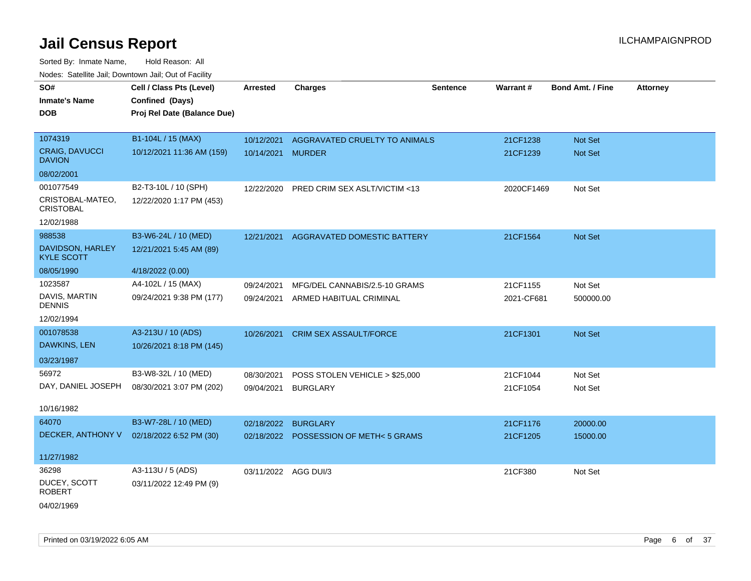Sorted By: Inmate Name, Hold Reason: All Nodes: Satellite Jail; Downtown Jail; Out of Facility

| SO#                                    | Cell / Class Pts (Level)    | Arrested             | <b>Charges</b>                        | <b>Sentence</b> | Warrant#   | <b>Bond Amt. / Fine</b> | <b>Attorney</b> |
|----------------------------------------|-----------------------------|----------------------|---------------------------------------|-----------------|------------|-------------------------|-----------------|
| <b>Inmate's Name</b>                   | Confined (Days)             |                      |                                       |                 |            |                         |                 |
| <b>DOB</b>                             | Proj Rel Date (Balance Due) |                      |                                       |                 |            |                         |                 |
|                                        |                             |                      |                                       |                 |            |                         |                 |
| 1074319                                | B1-104L / 15 (MAX)          | 10/12/2021           | AGGRAVATED CRUELTY TO ANIMALS         |                 | 21CF1238   | Not Set                 |                 |
| <b>CRAIG, DAVUCCI</b><br><b>DAVION</b> | 10/12/2021 11:36 AM (159)   | 10/14/2021 MURDER    |                                       |                 | 21CF1239   | Not Set                 |                 |
| 08/02/2001                             |                             |                      |                                       |                 |            |                         |                 |
| 001077549                              | B2-T3-10L / 10 (SPH)        | 12/22/2020           | PRED CRIM SEX ASLT/VICTIM <13         |                 | 2020CF1469 | Not Set                 |                 |
| CRISTOBAL-MATEO,<br><b>CRISTOBAL</b>   | 12/22/2020 1:17 PM (453)    |                      |                                       |                 |            |                         |                 |
| 12/02/1988                             |                             |                      |                                       |                 |            |                         |                 |
| 988538                                 | B3-W6-24L / 10 (MED)        | 12/21/2021           | AGGRAVATED DOMESTIC BATTERY           |                 | 21CF1564   | Not Set                 |                 |
| DAVIDSON, HARLEY<br><b>KYLE SCOTT</b>  | 12/21/2021 5:45 AM (89)     |                      |                                       |                 |            |                         |                 |
| 08/05/1990                             | 4/18/2022 (0.00)            |                      |                                       |                 |            |                         |                 |
| 1023587                                | A4-102L / 15 (MAX)          | 09/24/2021           | MFG/DEL CANNABIS/2.5-10 GRAMS         |                 | 21CF1155   | Not Set                 |                 |
| DAVIS, MARTIN<br><b>DENNIS</b>         | 09/24/2021 9:38 PM (177)    |                      | 09/24/2021 ARMED HABITUAL CRIMINAL    |                 | 2021-CF681 | 500000.00               |                 |
| 12/02/1994                             |                             |                      |                                       |                 |            |                         |                 |
| 001078538                              | A3-213U / 10 (ADS)          | 10/26/2021           | <b>CRIM SEX ASSAULT/FORCE</b>         |                 | 21CF1301   | Not Set                 |                 |
| DAWKINS, LEN                           | 10/26/2021 8:18 PM (145)    |                      |                                       |                 |            |                         |                 |
| 03/23/1987                             |                             |                      |                                       |                 |            |                         |                 |
| 56972                                  | B3-W8-32L / 10 (MED)        | 08/30/2021           | POSS STOLEN VEHICLE > \$25,000        |                 | 21CF1044   | Not Set                 |                 |
| DAY, DANIEL JOSEPH                     | 08/30/2021 3:07 PM (202)    | 09/04/2021           | <b>BURGLARY</b>                       |                 | 21CF1054   | Not Set                 |                 |
|                                        |                             |                      |                                       |                 |            |                         |                 |
| 10/16/1982                             |                             |                      |                                       |                 |            |                         |                 |
| 64070                                  | B3-W7-28L / 10 (MED)        | 02/18/2022           | <b>BURGLARY</b>                       |                 | 21CF1176   | 20000.00                |                 |
| DECKER, ANTHONY V                      | 02/18/2022 6:52 PM (30)     |                      | 02/18/2022 POSSESSION OF METH<5 GRAMS |                 | 21CF1205   | 15000.00                |                 |
| 11/27/1982                             |                             |                      |                                       |                 |            |                         |                 |
| 36298                                  | A3-113U / 5 (ADS)           | 03/11/2022 AGG DUI/3 |                                       |                 | 21CF380    | Not Set                 |                 |
| DUCEY, SCOTT<br><b>ROBERT</b>          | 03/11/2022 12:49 PM (9)     |                      |                                       |                 |            |                         |                 |
|                                        |                             |                      |                                       |                 |            |                         |                 |

04/02/1969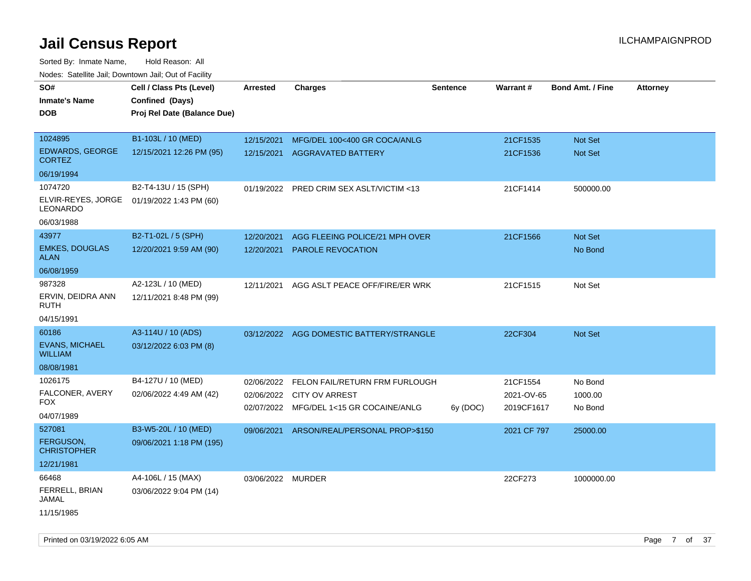| <b>NOULD:</b> Catoline bail, Downtown bail, Out of I dollty |                             |                   |                                          |                 |             |                         |                 |
|-------------------------------------------------------------|-----------------------------|-------------------|------------------------------------------|-----------------|-------------|-------------------------|-----------------|
| SO#                                                         | Cell / Class Pts (Level)    | <b>Arrested</b>   | Charges                                  | <b>Sentence</b> | Warrant#    | <b>Bond Amt. / Fine</b> | <b>Attorney</b> |
| <b>Inmate's Name</b>                                        | Confined (Days)             |                   |                                          |                 |             |                         |                 |
| <b>DOB</b>                                                  | Proj Rel Date (Balance Due) |                   |                                          |                 |             |                         |                 |
|                                                             |                             |                   |                                          |                 |             |                         |                 |
| 1024895                                                     | B1-103L / 10 (MED)          | 12/15/2021        | MFG/DEL 100<400 GR COCA/ANLG             |                 | 21CF1535    | Not Set                 |                 |
| EDWARDS, GEORGE<br><b>CORTEZ</b>                            | 12/15/2021 12:26 PM (95)    | 12/15/2021        | <b>AGGRAVATED BATTERY</b>                |                 | 21CF1536    | <b>Not Set</b>          |                 |
| 06/19/1994                                                  |                             |                   |                                          |                 |             |                         |                 |
| 1074720                                                     | B2-T4-13U / 15 (SPH)        | 01/19/2022        | PRED CRIM SEX ASLT/VICTIM <13            |                 | 21CF1414    | 500000.00               |                 |
| ELVIR-REYES, JORGE<br>LEONARDO                              | 01/19/2022 1:43 PM (60)     |                   |                                          |                 |             |                         |                 |
| 06/03/1988                                                  |                             |                   |                                          |                 |             |                         |                 |
| 43977                                                       | B2-T1-02L / 5 (SPH)         | 12/20/2021        | AGG FLEEING POLICE/21 MPH OVER           |                 | 21CF1566    | Not Set                 |                 |
| <b>EMKES, DOUGLAS</b><br><b>ALAN</b>                        | 12/20/2021 9:59 AM (90)     | 12/20/2021        | <b>PAROLE REVOCATION</b>                 |                 |             | No Bond                 |                 |
| 06/08/1959                                                  |                             |                   |                                          |                 |             |                         |                 |
| 987328                                                      | A2-123L / 10 (MED)          | 12/11/2021        | AGG ASLT PEACE OFF/FIRE/ER WRK           |                 | 21CF1515    | Not Set                 |                 |
| ERVIN, DEIDRA ANN<br>RUTH                                   | 12/11/2021 8:48 PM (99)     |                   |                                          |                 |             |                         |                 |
| 04/15/1991                                                  |                             |                   |                                          |                 |             |                         |                 |
| 60186                                                       | A3-114U / 10 (ADS)          |                   | 03/12/2022 AGG DOMESTIC BATTERY/STRANGLE |                 | 22CF304     | Not Set                 |                 |
| <b>EVANS, MICHAEL</b><br><b>WILLIAM</b>                     | 03/12/2022 6:03 PM (8)      |                   |                                          |                 |             |                         |                 |
| 08/08/1981                                                  |                             |                   |                                          |                 |             |                         |                 |
| 1026175                                                     | B4-127U / 10 (MED)          | 02/06/2022        | FELON FAIL/RETURN FRM FURLOUGH           |                 | 21CF1554    | No Bond                 |                 |
| FALCONER, AVERY                                             | 02/06/2022 4:49 AM (42)     | 02/06/2022        | <b>CITY OV ARREST</b>                    |                 | 2021-OV-65  | 1000.00                 |                 |
| <b>FOX</b>                                                  |                             |                   | 02/07/2022 MFG/DEL 1<15 GR COCAINE/ANLG  | 6y (DOC)        | 2019CF1617  | No Bond                 |                 |
| 04/07/1989                                                  |                             |                   |                                          |                 |             |                         |                 |
| 527081                                                      | B3-W5-20L / 10 (MED)        | 09/06/2021        | ARSON/REAL/PERSONAL PROP>\$150           |                 | 2021 CF 797 | 25000.00                |                 |
| <b>FERGUSON,</b><br><b>CHRISTOPHER</b>                      | 09/06/2021 1:18 PM (195)    |                   |                                          |                 |             |                         |                 |
| 12/21/1981                                                  |                             |                   |                                          |                 |             |                         |                 |
| 66468                                                       | A4-106L / 15 (MAX)          | 03/06/2022 MURDER |                                          |                 | 22CF273     | 1000000.00              |                 |
| FERRELL, BRIAN<br>JAMAL                                     | 03/06/2022 9:04 PM (14)     |                   |                                          |                 |             |                         |                 |
| 11/15/1985                                                  |                             |                   |                                          |                 |             |                         |                 |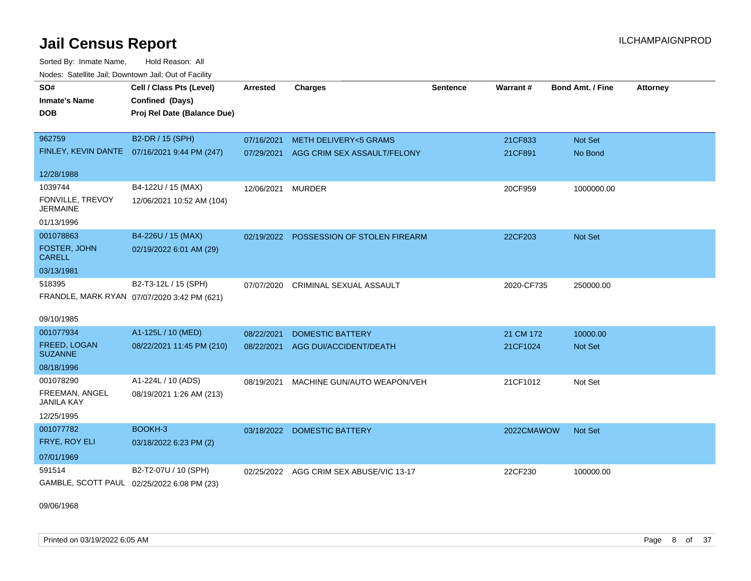Sorted By: Inmate Name, Hold Reason: All Nodes: Satellite Jail; Downtown Jail; Out of Facility

| SO#                                        | Cell / Class Pts (Level)                     | <b>Arrested</b> | <b>Charges</b>                  | <b>Sentence</b> | Warrant#   | <b>Bond Amt. / Fine</b> | <b>Attorney</b> |
|--------------------------------------------|----------------------------------------------|-----------------|---------------------------------|-----------------|------------|-------------------------|-----------------|
| <b>Inmate's Name</b>                       | Confined (Days)                              |                 |                                 |                 |            |                         |                 |
| DOB                                        | Proj Rel Date (Balance Due)                  |                 |                                 |                 |            |                         |                 |
|                                            |                                              |                 |                                 |                 |            |                         |                 |
| 962759                                     | B2-DR / 15 (SPH)                             | 07/16/2021      | <b>METH DELIVERY&lt;5 GRAMS</b> |                 | 21CF833    | Not Set                 |                 |
|                                            | FINLEY, KEVIN DANTE 07/16/2021 9:44 PM (247) | 07/29/2021      | AGG CRIM SEX ASSAULT/FELONY     |                 | 21CF891    | No Bond                 |                 |
| 12/28/1988                                 |                                              |                 |                                 |                 |            |                         |                 |
| 1039744                                    | B4-122U / 15 (MAX)                           | 12/06/2021      | <b>MURDER</b>                   |                 | 20CF959    | 1000000.00              |                 |
| FONVILLE, TREVOY<br><b>JERMAINE</b>        | 12/06/2021 10:52 AM (104)                    |                 |                                 |                 |            |                         |                 |
| 01/13/1996                                 |                                              |                 |                                 |                 |            |                         |                 |
| 001078863                                  | B4-226U / 15 (MAX)                           | 02/19/2022      | POSSESSION OF STOLEN FIREARM    |                 | 22CF203    | <b>Not Set</b>          |                 |
| FOSTER, JOHN<br><b>CARELL</b>              | 02/19/2022 6:01 AM (29)                      |                 |                                 |                 |            |                         |                 |
| 03/13/1981                                 |                                              |                 |                                 |                 |            |                         |                 |
| 518395                                     | B2-T3-12L / 15 (SPH)                         | 07/07/2020      | <b>CRIMINAL SEXUAL ASSAULT</b>  |                 | 2020-CF735 | 250000.00               |                 |
|                                            | FRANDLE, MARK RYAN 07/07/2020 3:42 PM (621)  |                 |                                 |                 |            |                         |                 |
| 09/10/1985                                 |                                              |                 |                                 |                 |            |                         |                 |
| 001077934                                  | A1-125L / 10 (MED)                           | 08/22/2021      | <b>DOMESTIC BATTERY</b>         |                 | 21 CM 172  | 10000.00                |                 |
| FREED, LOGAN<br><b>SUZANNE</b>             | 08/22/2021 11:45 PM (210)                    | 08/22/2021      | AGG DUI/ACCIDENT/DEATH          |                 | 21CF1024   | Not Set                 |                 |
| 08/18/1996                                 |                                              |                 |                                 |                 |            |                         |                 |
| 001078290                                  | A1-224L / 10 (ADS)                           | 08/19/2021      | MACHINE GUN/AUTO WEAPON/VEH     |                 | 21CF1012   | Not Set                 |                 |
| FREEMAN, ANGEL<br><b>JANILA KAY</b>        | 08/19/2021 1:26 AM (213)                     |                 |                                 |                 |            |                         |                 |
| 12/25/1995                                 |                                              |                 |                                 |                 |            |                         |                 |
| 001077782                                  | BOOKH-3                                      |                 | 03/18/2022 DOMESTIC BATTERY     |                 | 2022CMAWOW | Not Set                 |                 |
| FRYE, ROY ELI                              | 03/18/2022 6:23 PM (2)                       |                 |                                 |                 |            |                         |                 |
| 07/01/1969                                 |                                              |                 |                                 |                 |            |                         |                 |
| 591514                                     | B2-T2-07U / 10 (SPH)                         | 02/25/2022      | AGG CRIM SEX ABUSE/VIC 13-17    |                 | 22CF230    | 100000.00               |                 |
| GAMBLE, SCOTT PAUL 02/25/2022 6:08 PM (23) |                                              |                 |                                 |                 |            |                         |                 |

09/06/1968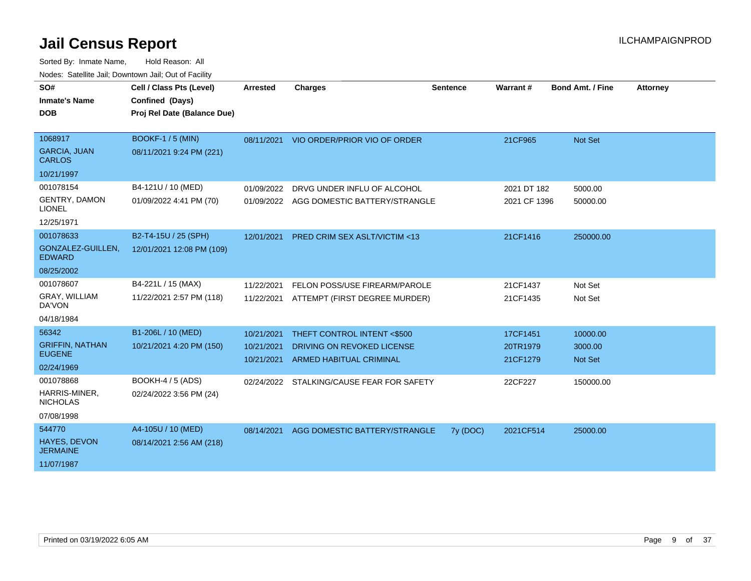| SO#<br><b>Inmate's Name</b><br><b>DOB</b>                                      | Cell / Class Pts (Level)<br>Confined (Days)<br>Proj Rel Date (Balance Due) | <b>Arrested</b>                        | <b>Charges</b>                                                                              | <b>Sentence</b> | <b>Warrant#</b>                  | <b>Bond Amt. / Fine</b>               | <b>Attorney</b> |
|--------------------------------------------------------------------------------|----------------------------------------------------------------------------|----------------------------------------|---------------------------------------------------------------------------------------------|-----------------|----------------------------------|---------------------------------------|-----------------|
| 1068917<br><b>GARCIA, JUAN</b><br><b>CARLOS</b>                                | <b>BOOKF-1/5 (MIN)</b><br>08/11/2021 9:24 PM (221)                         |                                        | 08/11/2021 VIO ORDER/PRIOR VIO OF ORDER                                                     |                 | 21CF965                          | <b>Not Set</b>                        |                 |
| 10/21/1997<br>001078154<br><b>GENTRY, DAMON</b><br><b>LIONEL</b><br>12/25/1971 | B4-121U / 10 (MED)<br>01/09/2022 4:41 PM (70)                              | 01/09/2022                             | DRVG UNDER INFLU OF ALCOHOL<br>01/09/2022 AGG DOMESTIC BATTERY/STRANGLE                     |                 | 2021 DT 182<br>2021 CF 1396      | 5000.00<br>50000.00                   |                 |
| 001078633<br>GONZALEZ-GUILLEN,<br><b>EDWARD</b><br>08/25/2002                  | B2-T4-15U / 25 (SPH)<br>12/01/2021 12:08 PM (109)                          | 12/01/2021                             | <b>PRED CRIM SEX ASLT/VICTIM &lt;13</b>                                                     |                 | 21CF1416                         | 250000.00                             |                 |
| 001078607<br><b>GRAY, WILLIAM</b><br>DA'VON<br>04/18/1984                      | B4-221L / 15 (MAX)<br>11/22/2021 2:57 PM (118)                             | 11/22/2021                             | FELON POSS/USE FIREARM/PAROLE<br>11/22/2021 ATTEMPT (FIRST DEGREE MURDER)                   |                 | 21CF1437<br>21CF1435             | Not Set<br>Not Set                    |                 |
| 56342<br><b>GRIFFIN, NATHAN</b><br><b>EUGENE</b><br>02/24/1969                 | B1-206L / 10 (MED)<br>10/21/2021 4:20 PM (150)                             | 10/21/2021<br>10/21/2021<br>10/21/2021 | THEFT CONTROL INTENT <\$500<br>DRIVING ON REVOKED LICENSE<br><b>ARMED HABITUAL CRIMINAL</b> |                 | 17CF1451<br>20TR1979<br>21CF1279 | 10000.00<br>3000.00<br><b>Not Set</b> |                 |
| 001078868<br>HARRIS-MINER.<br><b>NICHOLAS</b><br>07/08/1998                    | <b>BOOKH-4 / 5 (ADS)</b><br>02/24/2022 3:56 PM (24)                        |                                        | 02/24/2022 STALKING/CAUSE FEAR FOR SAFETY                                                   |                 | 22CF227                          | 150000.00                             |                 |
| 544770<br>HAYES, DEVON<br><b>JERMAINE</b><br>11/07/1987                        | A4-105U / 10 (MED)<br>08/14/2021 2:56 AM (218)                             | 08/14/2021                             | AGG DOMESTIC BATTERY/STRANGLE                                                               | 7y (DOC)        | 2021CF514                        | 25000.00                              |                 |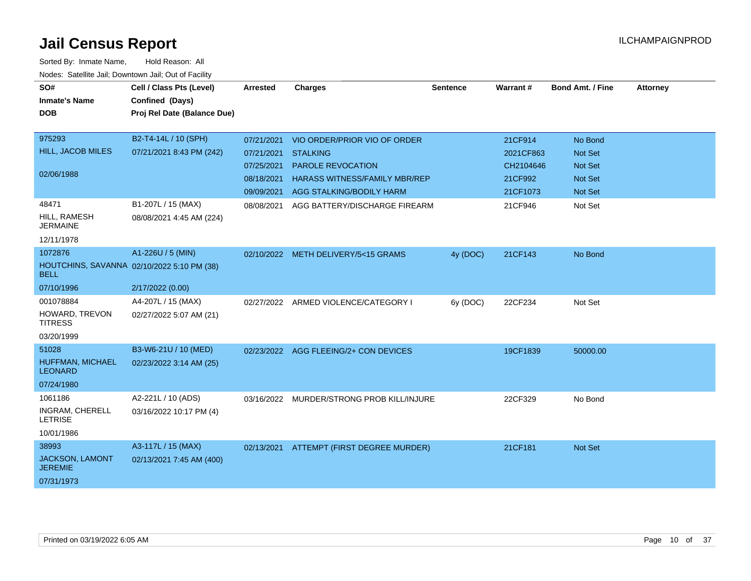| SO#                                                       | Cell / Class Pts (Level)    | <b>Arrested</b> | <b>Charges</b>                            | <b>Sentence</b> | Warrant#  | <b>Bond Amt. / Fine</b> | <b>Attorney</b> |
|-----------------------------------------------------------|-----------------------------|-----------------|-------------------------------------------|-----------------|-----------|-------------------------|-----------------|
| <b>Inmate's Name</b>                                      | Confined (Days)             |                 |                                           |                 |           |                         |                 |
| <b>DOB</b>                                                | Proj Rel Date (Balance Due) |                 |                                           |                 |           |                         |                 |
|                                                           |                             |                 |                                           |                 |           |                         |                 |
| 975293                                                    | B2-T4-14L / 10 (SPH)        | 07/21/2021      | VIO ORDER/PRIOR VIO OF ORDER              |                 | 21CF914   | No Bond                 |                 |
| HILL, JACOB MILES                                         | 07/21/2021 8:43 PM (242)    | 07/21/2021      | <b>STALKING</b>                           |                 | 2021CF863 | <b>Not Set</b>          |                 |
|                                                           |                             | 07/25/2021      | PAROLE REVOCATION                         |                 | CH2104646 | <b>Not Set</b>          |                 |
| 02/06/1988                                                |                             | 08/18/2021      | <b>HARASS WITNESS/FAMILY MBR/REP</b>      |                 | 21CF992   | <b>Not Set</b>          |                 |
|                                                           |                             | 09/09/2021      | AGG STALKING/BODILY HARM                  |                 | 21CF1073  | <b>Not Set</b>          |                 |
| 48471                                                     | B1-207L / 15 (MAX)          | 08/08/2021      | AGG BATTERY/DISCHARGE FIREARM             |                 | 21CF946   | Not Set                 |                 |
| HILL, RAMESH<br><b>JERMAINE</b>                           | 08/08/2021 4:45 AM (224)    |                 |                                           |                 |           |                         |                 |
| 12/11/1978                                                |                             |                 |                                           |                 |           |                         |                 |
| 1072876                                                   | A1-226U / 5 (MIN)           |                 | 02/10/2022 METH DELIVERY/5<15 GRAMS       | 4y (DOC)        | 21CF143   | No Bond                 |                 |
| HOUTCHINS, SAVANNA 02/10/2022 5:10 PM (38)<br><b>BELL</b> |                             |                 |                                           |                 |           |                         |                 |
| 07/10/1996                                                | 2/17/2022 (0.00)            |                 |                                           |                 |           |                         |                 |
| 001078884                                                 | A4-207L / 15 (MAX)          |                 | 02/27/2022 ARMED VIOLENCE/CATEGORY I      | 6y (DOC)        | 22CF234   | Not Set                 |                 |
| HOWARD, TREVON<br><b>TITRESS</b>                          | 02/27/2022 5:07 AM (21)     |                 |                                           |                 |           |                         |                 |
| 03/20/1999                                                |                             |                 |                                           |                 |           |                         |                 |
| 51028                                                     | B3-W6-21U / 10 (MED)        |                 | 02/23/2022 AGG FLEEING/2+ CON DEVICES     |                 | 19CF1839  | 50000.00                |                 |
| HUFFMAN, MICHAEL<br><b>LEONARD</b>                        | 02/23/2022 3:14 AM (25)     |                 |                                           |                 |           |                         |                 |
| 07/24/1980                                                |                             |                 |                                           |                 |           |                         |                 |
| 1061186                                                   | A2-221L / 10 (ADS)          |                 | 03/16/2022 MURDER/STRONG PROB KILL/INJURE |                 | 22CF329   | No Bond                 |                 |
| INGRAM, CHERELL<br><b>LETRISE</b>                         | 03/16/2022 10:17 PM (4)     |                 |                                           |                 |           |                         |                 |
| 10/01/1986                                                |                             |                 |                                           |                 |           |                         |                 |
| 38993                                                     | A3-117L / 15 (MAX)          |                 | 02/13/2021 ATTEMPT (FIRST DEGREE MURDER)  |                 | 21CF181   | <b>Not Set</b>          |                 |
| <b>JACKSON, LAMONT</b><br><b>JEREMIE</b>                  | 02/13/2021 7:45 AM (400)    |                 |                                           |                 |           |                         |                 |
| 07/31/1973                                                |                             |                 |                                           |                 |           |                         |                 |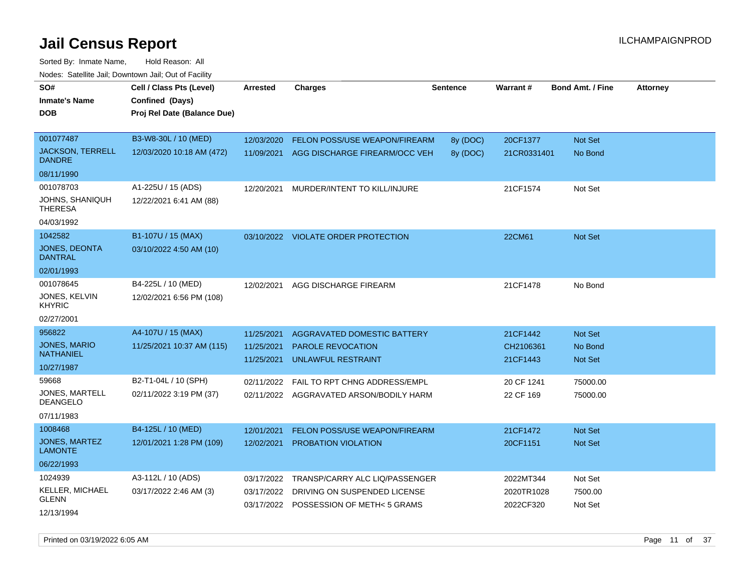| SO#<br><b>Inmate's Name</b><br><b>DOB</b>                       | Cell / Class Pts (Level)<br>Confined (Days)<br>Proj Rel Date (Balance Due) | <b>Arrested</b>                        | <b>Charges</b>                                                                                           | <b>Sentence</b>      | Warrant#                             | Bond Amt. / Fine                     | <b>Attorney</b> |
|-----------------------------------------------------------------|----------------------------------------------------------------------------|----------------------------------------|----------------------------------------------------------------------------------------------------------|----------------------|--------------------------------------|--------------------------------------|-----------------|
| 001077487<br><b>JACKSON, TERRELL</b><br><b>DANDRE</b>           | B3-W8-30L / 10 (MED)<br>12/03/2020 10:18 AM (472)                          | 12/03/2020<br>11/09/2021               | FELON POSS/USE WEAPON/FIREARM<br>AGG DISCHARGE FIREARM/OCC VEH                                           | 8y (DOC)<br>8y (DOC) | 20CF1377<br>21CR0331401              | Not Set<br>No Bond                   |                 |
| 08/11/1990                                                      |                                                                            |                                        |                                                                                                          |                      |                                      |                                      |                 |
| 001078703<br>JOHNS, SHANIQUH<br><b>THERESA</b><br>04/03/1992    | A1-225U / 15 (ADS)<br>12/22/2021 6:41 AM (88)                              | 12/20/2021                             | MURDER/INTENT TO KILL/INJURE                                                                             |                      | 21CF1574                             | Not Set                              |                 |
| 1042582<br><b>JONES, DEONTA</b><br>DANTRAL<br>02/01/1993        | B1-107U / 15 (MAX)<br>03/10/2022 4:50 AM (10)                              |                                        | 03/10/2022 VIOLATE ORDER PROTECTION                                                                      |                      | 22CM61                               | Not Set                              |                 |
| 001078645<br>JONES, KELVIN<br><b>KHYRIC</b><br>02/27/2001       | B4-225L / 10 (MED)<br>12/02/2021 6:56 PM (108)                             | 12/02/2021                             | AGG DISCHARGE FIREARM                                                                                    |                      | 21CF1478                             | No Bond                              |                 |
| 956822<br><b>JONES, MARIO</b><br><b>NATHANIEL</b><br>10/27/1987 | A4-107U / 15 (MAX)<br>11/25/2021 10:37 AM (115)                            | 11/25/2021<br>11/25/2021<br>11/25/2021 | AGGRAVATED DOMESTIC BATTERY<br>PAROLE REVOCATION<br>UNLAWFUL RESTRAINT                                   |                      | 21CF1442<br>CH2106361<br>21CF1443    | <b>Not Set</b><br>No Bond<br>Not Set |                 |
| 59668<br><b>JONES, MARTELL</b><br><b>DEANGELO</b><br>07/11/1983 | B2-T1-04L / 10 (SPH)<br>02/11/2022 3:19 PM (37)                            | 02/11/2022                             | FAIL TO RPT CHNG ADDRESS/EMPL<br>02/11/2022 AGGRAVATED ARSON/BODILY HARM                                 |                      | 20 CF 1241<br>22 CF 169              | 75000.00<br>75000.00                 |                 |
| 1008468<br><b>JONES, MARTEZ</b><br><b>LAMONTE</b><br>06/22/1993 | B4-125L / 10 (MED)<br>12/01/2021 1:28 PM (109)                             | 12/01/2021<br>12/02/2021               | FELON POSS/USE WEAPON/FIREARM<br>PROBATION VIOLATION                                                     |                      | 21CF1472<br>20CF1151                 | Not Set<br>Not Set                   |                 |
| 1024939<br>KELLER, MICHAEL<br><b>GLENN</b><br>12/13/1994        | A3-112L / 10 (ADS)<br>03/17/2022 2:46 AM (3)                               | 03/17/2022<br>03/17/2022               | TRANSP/CARRY ALC LIQ/PASSENGER<br>DRIVING ON SUSPENDED LICENSE<br>03/17/2022 POSSESSION OF METH< 5 GRAMS |                      | 2022MT344<br>2020TR1028<br>2022CF320 | Not Set<br>7500.00<br>Not Set        |                 |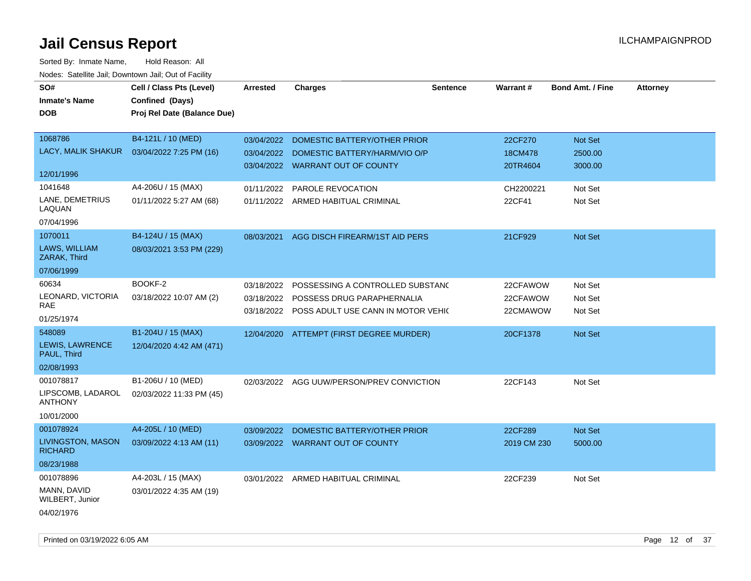| SO#                                 | Cell / Class Pts (Level)    | <b>Arrested</b> | <b>Charges</b>                                | <b>Sentence</b> | <b>Warrant#</b> | <b>Bond Amt. / Fine</b> | <b>Attorney</b> |
|-------------------------------------|-----------------------------|-----------------|-----------------------------------------------|-----------------|-----------------|-------------------------|-----------------|
| <b>Inmate's Name</b>                | Confined (Days)             |                 |                                               |                 |                 |                         |                 |
| <b>DOB</b>                          | Proj Rel Date (Balance Due) |                 |                                               |                 |                 |                         |                 |
|                                     |                             |                 |                                               |                 |                 |                         |                 |
| 1068786                             | B4-121L / 10 (MED)          | 03/04/2022      | DOMESTIC BATTERY/OTHER PRIOR                  |                 | 22CF270         | Not Set                 |                 |
| LACY, MALIK SHAKUR                  | 03/04/2022 7:25 PM (16)     | 03/04/2022      | DOMESTIC BATTERY/HARM/VIO O/P                 |                 | 18CM478         | 2500.00                 |                 |
|                                     |                             |                 | 03/04/2022 WARRANT OUT OF COUNTY              |                 | 20TR4604        | 3000.00                 |                 |
| 12/01/1996                          |                             |                 |                                               |                 |                 |                         |                 |
| 1041648                             | A4-206U / 15 (MAX)          | 01/11/2022      | <b>PAROLE REVOCATION</b>                      |                 | CH2200221       | Not Set                 |                 |
| LANE, DEMETRIUS<br>LAQUAN           | 01/11/2022 5:27 AM (68)     |                 | 01/11/2022 ARMED HABITUAL CRIMINAL            |                 | 22CF41          | Not Set                 |                 |
| 07/04/1996                          |                             |                 |                                               |                 |                 |                         |                 |
| 1070011                             | B4-124U / 15 (MAX)          | 08/03/2021      | AGG DISCH FIREARM/1ST AID PERS                |                 | 21CF929         | Not Set                 |                 |
| LAWS, WILLIAM<br>ZARAK, Third       | 08/03/2021 3:53 PM (229)    |                 |                                               |                 |                 |                         |                 |
| 07/06/1999                          |                             |                 |                                               |                 |                 |                         |                 |
| 60634                               | BOOKF-2                     | 03/18/2022      | POSSESSING A CONTROLLED SUBSTANC              |                 | 22CFAWOW        | Not Set                 |                 |
| LEONARD, VICTORIA                   | 03/18/2022 10:07 AM (2)     |                 | 03/18/2022 POSSESS DRUG PARAPHERNALIA         |                 | 22CFAWOW        | Not Set                 |                 |
| RAE                                 |                             |                 | 03/18/2022 POSS ADULT USE CANN IN MOTOR VEHIC |                 | 22CMAWOW        | Not Set                 |                 |
| 01/25/1974                          |                             |                 |                                               |                 |                 |                         |                 |
| 548089                              | B1-204U / 15 (MAX)          |                 | 12/04/2020 ATTEMPT (FIRST DEGREE MURDER)      |                 | 20CF1378        | <b>Not Set</b>          |                 |
| LEWIS, LAWRENCE<br>PAUL, Third      | 12/04/2020 4:42 AM (471)    |                 |                                               |                 |                 |                         |                 |
| 02/08/1993                          |                             |                 |                                               |                 |                 |                         |                 |
| 001078817                           | B1-206U / 10 (MED)          |                 | 02/03/2022 AGG UUW/PERSON/PREV CONVICTION     |                 | 22CF143         | Not Set                 |                 |
| LIPSCOMB, LADAROL<br><b>ANTHONY</b> | 02/03/2022 11:33 PM (45)    |                 |                                               |                 |                 |                         |                 |
| 10/01/2000                          |                             |                 |                                               |                 |                 |                         |                 |
| 001078924                           | A4-205L / 10 (MED)          | 03/09/2022      | DOMESTIC BATTERY/OTHER PRIOR                  |                 | 22CF289         | Not Set                 |                 |
| LIVINGSTON, MASON<br><b>RICHARD</b> | 03/09/2022 4:13 AM (11)     |                 | 03/09/2022 WARRANT OUT OF COUNTY              |                 | 2019 CM 230     | 5000.00                 |                 |
| 08/23/1988                          |                             |                 |                                               |                 |                 |                         |                 |
| 001078896                           | A4-203L / 15 (MAX)          | 03/01/2022      | ARMED HABITUAL CRIMINAL                       |                 | 22CF239         | Not Set                 |                 |
| MANN, DAVID<br>WILBERT, Junior      | 03/01/2022 4:35 AM (19)     |                 |                                               |                 |                 |                         |                 |
| 04/02/1976                          |                             |                 |                                               |                 |                 |                         |                 |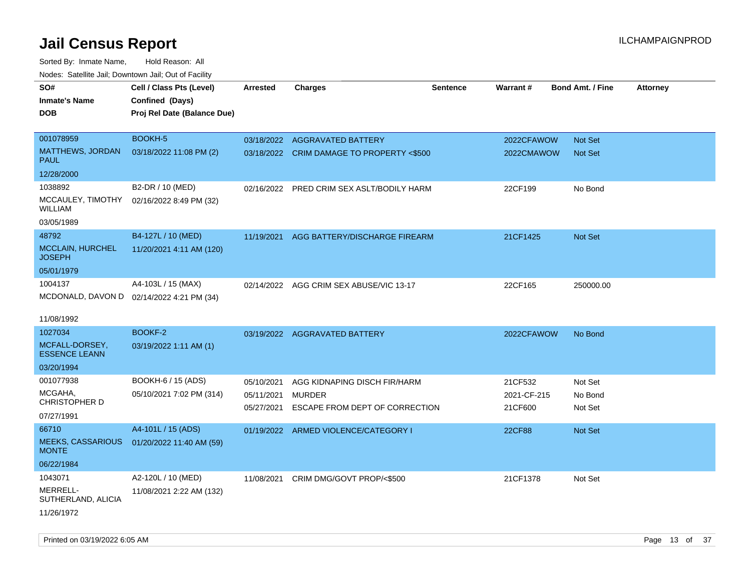| SO#<br>Inmate's Name<br>DOB                                        | Cell / Class Pts (Level)<br>Confined (Days)<br>Proj Rel Date (Balance Due) | <b>Arrested</b>                        | <b>Charges</b>                                                             | <b>Sentence</b> | Warrant#                          | <b>Bond Amt. / Fine</b>       | <b>Attorney</b> |
|--------------------------------------------------------------------|----------------------------------------------------------------------------|----------------------------------------|----------------------------------------------------------------------------|-----------------|-----------------------------------|-------------------------------|-----------------|
| 001078959<br><b>MATTHEWS, JORDAN</b><br>PAUL                       | <b>BOOKH-5</b><br>03/18/2022 11:08 PM (2)                                  |                                        | 03/18/2022 AGGRAVATED BATTERY<br>03/18/2022 CRIM DAMAGE TO PROPERTY <\$500 |                 | 2022CFAWOW<br>2022CMAWOW          | Not Set<br><b>Not Set</b>     |                 |
| 12/28/2000                                                         |                                                                            |                                        |                                                                            |                 |                                   |                               |                 |
| 1038892<br>MCCAULEY, TIMOTHY<br>WILLIAM<br>03/05/1989              | B2-DR / 10 (MED)<br>02/16/2022 8:49 PM (32)                                |                                        | 02/16/2022 PRED CRIM SEX ASLT/BODILY HARM                                  |                 | 22CF199                           | No Bond                       |                 |
| 48792<br><b>MCCLAIN, HURCHEL</b><br><b>JOSEPH</b><br>05/01/1979    | B4-127L / 10 (MED)<br>11/20/2021 4:11 AM (120)                             | 11/19/2021                             | AGG BATTERY/DISCHARGE FIREARM                                              |                 | 21CF1425                          | Not Set                       |                 |
| 1004137<br>MCDONALD, DAVON D 02/14/2022 4:21 PM (34)<br>11/08/1992 | A4-103L / 15 (MAX)                                                         | 02/14/2022                             | AGG CRIM SEX ABUSE/VIC 13-17                                               |                 | 22CF165                           | 250000.00                     |                 |
| 1027034<br>MCFALL-DORSEY,<br><b>ESSENCE LEANN</b><br>03/20/1994    | <b>BOOKF-2</b><br>03/19/2022 1:11 AM (1)                                   |                                        | 03/19/2022 AGGRAVATED BATTERY                                              |                 | 2022CFAWOW                        | No Bond                       |                 |
| 001077938<br>MCGAHA,<br><b>CHRISTOPHER D</b><br>07/27/1991         | BOOKH-6 / 15 (ADS)<br>05/10/2021 7:02 PM (314)                             | 05/10/2021<br>05/11/2021<br>05/27/2021 | AGG KIDNAPING DISCH FIR/HARM<br>MURDER<br>ESCAPE FROM DEPT OF CORRECTION   |                 | 21CF532<br>2021-CF-215<br>21CF600 | Not Set<br>No Bond<br>Not Set |                 |
| 66710<br><b>MEEKS, CASSARIOUS</b><br><b>MONTE</b><br>06/22/1984    | A4-101L / 15 (ADS)<br>01/20/2022 11:40 AM (59)                             |                                        | 01/19/2022 ARMED VIOLENCE/CATEGORY I                                       |                 | 22CF88                            | Not Set                       |                 |
| 1043071<br>MERRELL-<br>SUTHERLAND, ALICIA<br>11/26/1972            | A2-120L / 10 (MED)<br>11/08/2021 2:22 AM (132)                             | 11/08/2021                             | CRIM DMG/GOVT PROP/<\$500                                                  |                 | 21CF1378                          | Not Set                       |                 |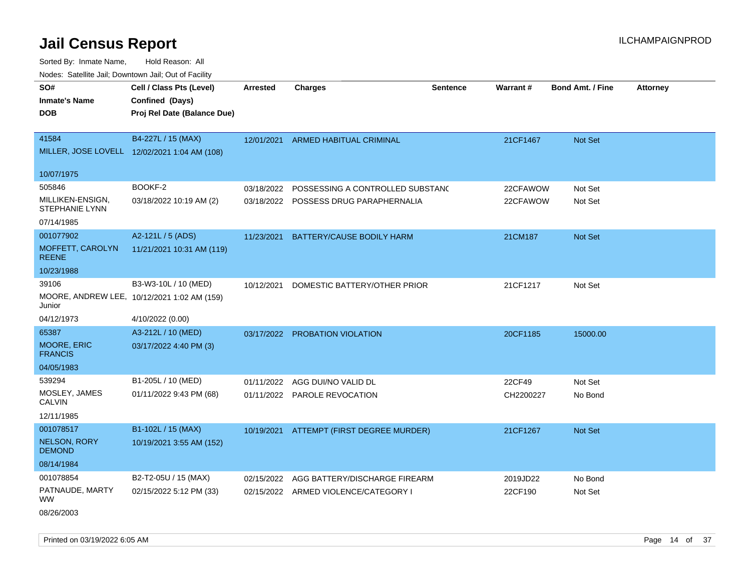| Nodes: Satellite Jail; Downtown Jail; Out of Facility |                                              |                 |                                       |                 |           |                         |                 |
|-------------------------------------------------------|----------------------------------------------|-----------------|---------------------------------------|-----------------|-----------|-------------------------|-----------------|
| SO#                                                   | Cell / Class Pts (Level)                     | <b>Arrested</b> | <b>Charges</b>                        | <b>Sentence</b> | Warrant#  | <b>Bond Amt. / Fine</b> | <b>Attorney</b> |
| <b>Inmate's Name</b>                                  | Confined (Days)                              |                 |                                       |                 |           |                         |                 |
| <b>DOB</b>                                            | Proj Rel Date (Balance Due)                  |                 |                                       |                 |           |                         |                 |
|                                                       |                                              |                 |                                       |                 |           |                         |                 |
| 41584                                                 | B4-227L / 15 (MAX)                           | 12/01/2021      | ARMED HABITUAL CRIMINAL               |                 | 21CF1467  | Not Set                 |                 |
|                                                       | MILLER, JOSE LOVELL 12/02/2021 1:04 AM (108) |                 |                                       |                 |           |                         |                 |
|                                                       |                                              |                 |                                       |                 |           |                         |                 |
| 10/07/1975                                            |                                              |                 |                                       |                 |           |                         |                 |
| 505846                                                | BOOKF-2                                      | 03/18/2022      | POSSESSING A CONTROLLED SUBSTAND      |                 | 22CFAWOW  | Not Set                 |                 |
| MILLIKEN-ENSIGN,<br><b>STEPHANIE LYNN</b>             | 03/18/2022 10:19 AM (2)                      |                 | 03/18/2022 POSSESS DRUG PARAPHERNALIA |                 | 22CFAWOW  | Not Set                 |                 |
| 07/14/1985                                            |                                              |                 |                                       |                 |           |                         |                 |
| 001077902                                             | A2-121L / 5 (ADS)                            | 11/23/2021      | BATTERY/CAUSE BODILY HARM             |                 | 21CM187   | Not Set                 |                 |
| MOFFETT, CAROLYN<br><b>REENE</b>                      | 11/21/2021 10:31 AM (119)                    |                 |                                       |                 |           |                         |                 |
| 10/23/1988                                            |                                              |                 |                                       |                 |           |                         |                 |
| 39106                                                 | B3-W3-10L / 10 (MED)                         | 10/12/2021      | DOMESTIC BATTERY/OTHER PRIOR          |                 | 21CF1217  | Not Set                 |                 |
| Junior                                                | MOORE, ANDREW LEE, 10/12/2021 1:02 AM (159)  |                 |                                       |                 |           |                         |                 |
| 04/12/1973                                            | 4/10/2022 (0.00)                             |                 |                                       |                 |           |                         |                 |
| 65387                                                 | A3-212L / 10 (MED)                           | 03/17/2022      | PROBATION VIOLATION                   |                 | 20CF1185  | 15000.00                |                 |
| MOORE, ERIC<br><b>FRANCIS</b>                         | 03/17/2022 4:40 PM (3)                       |                 |                                       |                 |           |                         |                 |
| 04/05/1983                                            |                                              |                 |                                       |                 |           |                         |                 |
| 539294                                                | B1-205L / 10 (MED)                           | 01/11/2022      | AGG DUI/NO VALID DL                   |                 | 22CF49    | Not Set                 |                 |
| MOSLEY, JAMES                                         | 01/11/2022 9:43 PM (68)                      | 01/11/2022      | PAROLE REVOCATION                     |                 | CH2200227 | No Bond                 |                 |
| <b>CALVIN</b>                                         |                                              |                 |                                       |                 |           |                         |                 |
| 12/11/1985                                            |                                              |                 |                                       |                 |           |                         |                 |
| 001078517                                             | B1-102L / 15 (MAX)                           | 10/19/2021      | ATTEMPT (FIRST DEGREE MURDER)         |                 | 21CF1267  | Not Set                 |                 |
| <b>NELSON, RORY</b><br><b>DEMOND</b>                  | 10/19/2021 3:55 AM (152)                     |                 |                                       |                 |           |                         |                 |
| 08/14/1984                                            |                                              |                 |                                       |                 |           |                         |                 |
| 001078854                                             | B2-T2-05U / 15 (MAX)                         | 02/15/2022      | AGG BATTERY/DISCHARGE FIREARM         |                 | 2019JD22  | No Bond                 |                 |
| PATNAUDE, MARTY<br><b>WW</b>                          | 02/15/2022 5:12 PM (33)                      |                 | 02/15/2022 ARMED VIOLENCE/CATEGORY I  |                 | 22CF190   | Not Set                 |                 |
| 08/26/2003                                            |                                              |                 |                                       |                 |           |                         |                 |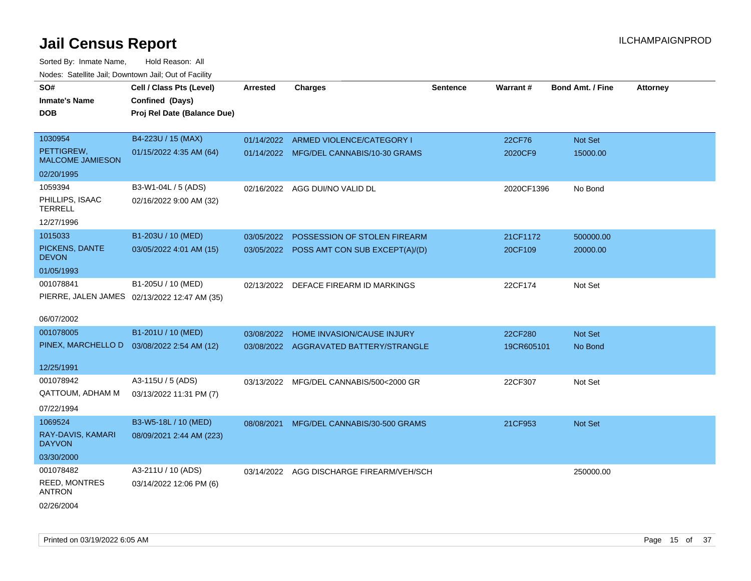| SO#                                         | Cell / Class Pts (Level)                     | <b>Arrested</b> | <b>Charges</b>                           | <b>Sentence</b> | <b>Warrant#</b> | <b>Bond Amt. / Fine</b> | <b>Attorney</b> |
|---------------------------------------------|----------------------------------------------|-----------------|------------------------------------------|-----------------|-----------------|-------------------------|-----------------|
| <b>Inmate's Name</b>                        | Confined (Days)                              |                 |                                          |                 |                 |                         |                 |
| <b>DOB</b>                                  | Proj Rel Date (Balance Due)                  |                 |                                          |                 |                 |                         |                 |
|                                             |                                              |                 |                                          |                 |                 |                         |                 |
| 1030954                                     | B4-223U / 15 (MAX)                           |                 | 01/14/2022 ARMED VIOLENCE/CATEGORY I     |                 | 22CF76          | Not Set                 |                 |
| PETTIGREW,<br><b>MALCOME JAMIESON</b>       | 01/15/2022 4:35 AM (64)                      |                 | 01/14/2022 MFG/DEL CANNABIS/10-30 GRAMS  |                 | 2020CF9         | 15000.00                |                 |
| 02/20/1995                                  |                                              |                 |                                          |                 |                 |                         |                 |
| 1059394                                     | B3-W1-04L / 5 (ADS)                          |                 | 02/16/2022 AGG DUI/NO VALID DL           |                 | 2020CF1396      | No Bond                 |                 |
| PHILLIPS, ISAAC<br><b>TERRELL</b>           | 02/16/2022 9:00 AM (32)                      |                 |                                          |                 |                 |                         |                 |
| 12/27/1996                                  |                                              |                 |                                          |                 |                 |                         |                 |
| 1015033                                     | B1-203U / 10 (MED)                           | 03/05/2022      | POSSESSION OF STOLEN FIREARM             |                 | 21CF1172        | 500000.00               |                 |
| PICKENS, DANTE<br><b>DEVON</b>              | 03/05/2022 4:01 AM (15)                      | 03/05/2022      | POSS AMT CON SUB EXCEPT(A)/(D)           |                 | 20CF109         | 20000.00                |                 |
| 01/05/1993                                  |                                              |                 |                                          |                 |                 |                         |                 |
| 001078841                                   | B1-205U / 10 (MED)                           |                 | 02/13/2022 DEFACE FIREARM ID MARKINGS    |                 | 22CF174         | Not Set                 |                 |
|                                             | PIERRE, JALEN JAMES 02/13/2022 12:47 AM (35) |                 |                                          |                 |                 |                         |                 |
|                                             |                                              |                 |                                          |                 |                 |                         |                 |
| 06/07/2002                                  |                                              |                 |                                          |                 |                 |                         |                 |
| 001078005                                   | B1-201U / 10 (MED)                           | 03/08/2022      | HOME INVASION/CAUSE INJURY               |                 | 22CF280         | Not Set                 |                 |
| PINEX, MARCHELLO D  03/08/2022 2:54 AM (12) |                                              |                 | 03/08/2022 AGGRAVATED BATTERY/STRANGLE   |                 | 19CR605101      | No Bond                 |                 |
|                                             |                                              |                 |                                          |                 |                 |                         |                 |
| 12/25/1991                                  |                                              |                 |                                          |                 |                 |                         |                 |
| 001078942                                   | A3-115U / 5 (ADS)                            | 03/13/2022      | MFG/DEL CANNABIS/500<2000 GR             |                 | 22CF307         | Not Set                 |                 |
| QATTOUM, ADHAM M                            | 03/13/2022 11:31 PM (7)                      |                 |                                          |                 |                 |                         |                 |
| 07/22/1994                                  |                                              |                 |                                          |                 |                 |                         |                 |
| 1069524                                     | B3-W5-18L / 10 (MED)                         | 08/08/2021      | MFG/DEL CANNABIS/30-500 GRAMS            |                 | 21CF953         | Not Set                 |                 |
| RAY-DAVIS, KAMARI<br><b>DAYVON</b>          | 08/09/2021 2:44 AM (223)                     |                 |                                          |                 |                 |                         |                 |
| 03/30/2000                                  |                                              |                 |                                          |                 |                 |                         |                 |
| 001078482                                   | A3-211U / 10 (ADS)                           |                 | 03/14/2022 AGG DISCHARGE FIREARM/VEH/SCH |                 |                 | 250000.00               |                 |
| REED, MONTRES<br><b>ANTRON</b>              | 03/14/2022 12:06 PM (6)                      |                 |                                          |                 |                 |                         |                 |
| 02/26/2004                                  |                                              |                 |                                          |                 |                 |                         |                 |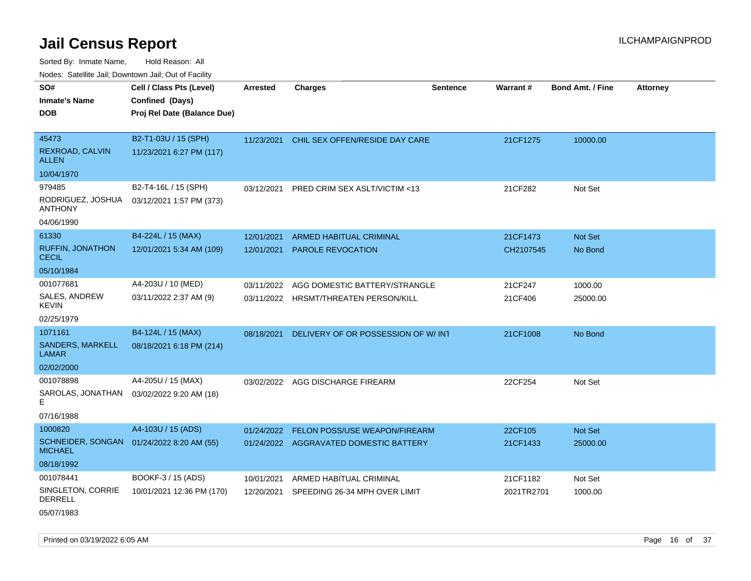Sorted By: Inmate Name, Hold Reason: All Nodes: Satellite Jail; Downtown Jail; Out of Facility

| SO#                                        | Cell / Class Pts (Level)    | Arrested   | <b>Charges</b>                         | <b>Sentence</b> | Warrant#   | <b>Bond Amt. / Fine</b> | <b>Attorney</b> |
|--------------------------------------------|-----------------------------|------------|----------------------------------------|-----------------|------------|-------------------------|-----------------|
| <b>Inmate's Name</b>                       | Confined (Days)             |            |                                        |                 |            |                         |                 |
| <b>DOB</b>                                 | Proj Rel Date (Balance Due) |            |                                        |                 |            |                         |                 |
|                                            |                             |            |                                        |                 |            |                         |                 |
| 45473                                      | B2-T1-03U / 15 (SPH)        | 11/23/2021 | CHIL SEX OFFEN/RESIDE DAY CARE         |                 | 21CF1275   | 10000.00                |                 |
| REXROAD, CALVIN<br><b>ALLEN</b>            | 11/23/2021 6:27 PM (117)    |            |                                        |                 |            |                         |                 |
| 10/04/1970                                 |                             |            |                                        |                 |            |                         |                 |
| 979485                                     | B2-T4-16L / 15 (SPH)        | 03/12/2021 | PRED CRIM SEX ASLT/VICTIM <13          |                 | 21CF282    | Not Set                 |                 |
| RODRIGUEZ, JOSHUA<br><b>ANTHONY</b>        | 03/12/2021 1:57 PM (373)    |            |                                        |                 |            |                         |                 |
| 04/06/1990                                 |                             |            |                                        |                 |            |                         |                 |
| 61330                                      | B4-224L / 15 (MAX)          | 12/01/2021 | <b>ARMED HABITUAL CRIMINAL</b>         |                 | 21CF1473   | Not Set                 |                 |
| <b>RUFFIN, JONATHON</b><br><b>CECIL</b>    | 12/01/2021 5:34 AM (109)    | 12/01/2021 | PAROLE REVOCATION                      |                 | CH2107545  | No Bond                 |                 |
| 05/10/1984                                 |                             |            |                                        |                 |            |                         |                 |
| 001077681                                  | A4-203U / 10 (MED)          | 03/11/2022 | AGG DOMESTIC BATTERY/STRANGLE          |                 | 21CF247    | 1000.00                 |                 |
| SALES, ANDREW<br><b>KEVIN</b>              | 03/11/2022 2:37 AM (9)      |            | 03/11/2022 HRSMT/THREATEN PERSON/KILL  |                 | 21CF406    | 25000.00                |                 |
| 02/25/1979                                 |                             |            |                                        |                 |            |                         |                 |
| 1071161                                    | B4-124L / 15 (MAX)          | 08/18/2021 | DELIVERY OF OR POSSESSION OF W/INT     |                 | 21CF1008   | No Bond                 |                 |
| <b>SANDERS, MARKELL</b><br><b>LAMAR</b>    | 08/18/2021 6:18 PM (214)    |            |                                        |                 |            |                         |                 |
| 02/02/2000                                 |                             |            |                                        |                 |            |                         |                 |
| 001078898                                  | A4-205U / 15 (MAX)          |            | 03/02/2022 AGG DISCHARGE FIREARM       |                 | 22CF254    | Not Set                 |                 |
| SAROLAS, JONATHAN<br>Е                     | 03/02/2022 9:20 AM (18)     |            |                                        |                 |            |                         |                 |
| 07/16/1988                                 |                             |            |                                        |                 |            |                         |                 |
| 1000820                                    | A4-103U / 15 (ADS)          | 01/24/2022 | <b>FELON POSS/USE WEAPON/FIREARM</b>   |                 | 22CF105    | Not Set                 |                 |
| <b>SCHNEIDER, SONGAN</b><br><b>MICHAEL</b> | 01/24/2022 8:20 AM (55)     |            | 01/24/2022 AGGRAVATED DOMESTIC BATTERY |                 | 21CF1433   | 25000.00                |                 |
| 08/18/1992                                 |                             |            |                                        |                 |            |                         |                 |
| 001078441                                  | BOOKF-3 / 15 (ADS)          | 10/01/2021 | ARMED HABITUAL CRIMINAL                |                 | 21CF1182   | Not Set                 |                 |
| SINGLETON, CORRIE<br><b>DERRELL</b>        | 10/01/2021 12:36 PM (170)   | 12/20/2021 | SPEEDING 26-34 MPH OVER LIMIT          |                 | 2021TR2701 | 1000.00                 |                 |
| 05/07/1983                                 |                             |            |                                        |                 |            |                         |                 |

Printed on 03/19/2022 6:05 AM **Page 16** of 37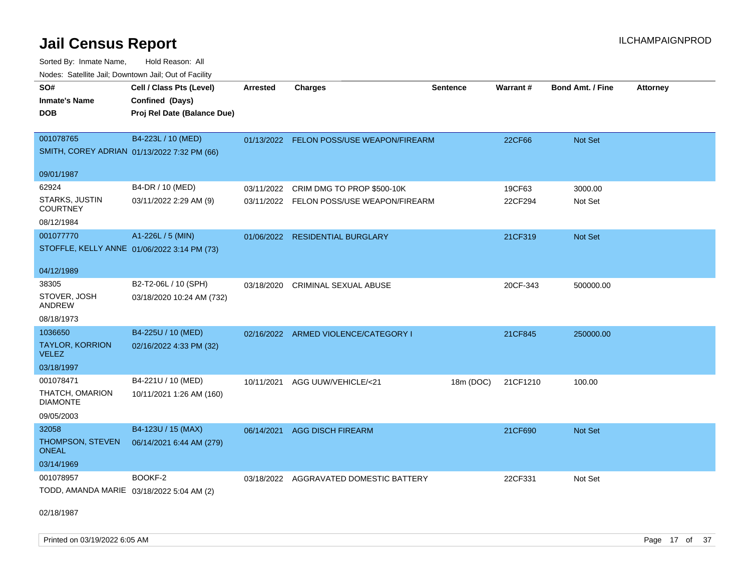Sorted By: Inmate Name, Hold Reason: All Nodes: Satellite Jail; Downtown Jail; Out of Facility

| SO#<br>Warrant#<br><b>Bond Amt. / Fine</b><br>Confined (Days)<br>Inmate's Name<br><b>DOB</b><br>Proj Rel Date (Balance Due)<br>001078765<br>B4-223L / 10 (MED)<br>Not Set<br>01/13/2022 FELON POSS/USE WEAPON/FIREARM<br>22CF66<br>SMITH, COREY ADRIAN 01/13/2022 7:32 PM (66)<br>09/01/1987<br>62924<br>B4-DR / 10 (MED)<br>03/11/2022 CRIM DMG TO PROP \$500-10K<br>19CF63<br>3000.00<br>STARKS, JUSTIN<br>03/11/2022 2:29 AM (9)<br>22CF294<br>Not Set<br>03/11/2022 FELON POSS/USE WEAPON/FIREARM<br><b>COURTNEY</b><br>08/12/1984<br>A1-226L / 5 (MIN)<br>001077770<br>21CF319<br>Not Set<br>01/06/2022 RESIDENTIAL BURGLARY<br>STOFFLE, KELLY ANNE 01/06/2022 3:14 PM (73)<br>04/12/1989<br>B2-T2-06L / 10 (SPH)<br>38305<br><b>CRIMINAL SEXUAL ABUSE</b><br>20CF-343<br>500000.00<br>03/18/2020<br>STOVER, JOSH<br>03/18/2020 10:24 AM (732)<br><b>ANDREW</b><br>08/18/1973<br>1036650<br>B4-225U / 10 (MED)<br>02/16/2022 ARMED VIOLENCE/CATEGORY I<br>21CF845<br>250000.00<br><b>TAYLOR, KORRION</b><br>02/16/2022 4:33 PM (32)<br><b>VELEZ</b><br>03/18/1997<br>001078471<br>B4-221U / 10 (MED)<br>10/11/2021<br>AGG UUW/VEHICLE/<21<br>18m (DOC)<br>21CF1210<br>100.00<br>THATCH, OMARION<br>10/11/2021 1:26 AM (160)<br><b>DIAMONTE</b><br>09/05/2003 |                          |                 |                          |                 |  |                 |
|-------------------------------------------------------------------------------------------------------------------------------------------------------------------------------------------------------------------------------------------------------------------------------------------------------------------------------------------------------------------------------------------------------------------------------------------------------------------------------------------------------------------------------------------------------------------------------------------------------------------------------------------------------------------------------------------------------------------------------------------------------------------------------------------------------------------------------------------------------------------------------------------------------------------------------------------------------------------------------------------------------------------------------------------------------------------------------------------------------------------------------------------------------------------------------------------------------------------------------------------------------------------|--------------------------|-----------------|--------------------------|-----------------|--|-----------------|
|                                                                                                                                                                                                                                                                                                                                                                                                                                                                                                                                                                                                                                                                                                                                                                                                                                                                                                                                                                                                                                                                                                                                                                                                                                                                   | Cell / Class Pts (Level) | <b>Arrested</b> | <b>Charges</b>           | <b>Sentence</b> |  | <b>Attorney</b> |
|                                                                                                                                                                                                                                                                                                                                                                                                                                                                                                                                                                                                                                                                                                                                                                                                                                                                                                                                                                                                                                                                                                                                                                                                                                                                   |                          |                 |                          |                 |  |                 |
|                                                                                                                                                                                                                                                                                                                                                                                                                                                                                                                                                                                                                                                                                                                                                                                                                                                                                                                                                                                                                                                                                                                                                                                                                                                                   |                          |                 |                          |                 |  |                 |
|                                                                                                                                                                                                                                                                                                                                                                                                                                                                                                                                                                                                                                                                                                                                                                                                                                                                                                                                                                                                                                                                                                                                                                                                                                                                   |                          |                 |                          |                 |  |                 |
|                                                                                                                                                                                                                                                                                                                                                                                                                                                                                                                                                                                                                                                                                                                                                                                                                                                                                                                                                                                                                                                                                                                                                                                                                                                                   |                          |                 |                          |                 |  |                 |
|                                                                                                                                                                                                                                                                                                                                                                                                                                                                                                                                                                                                                                                                                                                                                                                                                                                                                                                                                                                                                                                                                                                                                                                                                                                                   |                          |                 |                          |                 |  |                 |
|                                                                                                                                                                                                                                                                                                                                                                                                                                                                                                                                                                                                                                                                                                                                                                                                                                                                                                                                                                                                                                                                                                                                                                                                                                                                   |                          |                 |                          |                 |  |                 |
|                                                                                                                                                                                                                                                                                                                                                                                                                                                                                                                                                                                                                                                                                                                                                                                                                                                                                                                                                                                                                                                                                                                                                                                                                                                                   |                          |                 |                          |                 |  |                 |
|                                                                                                                                                                                                                                                                                                                                                                                                                                                                                                                                                                                                                                                                                                                                                                                                                                                                                                                                                                                                                                                                                                                                                                                                                                                                   |                          |                 |                          |                 |  |                 |
|                                                                                                                                                                                                                                                                                                                                                                                                                                                                                                                                                                                                                                                                                                                                                                                                                                                                                                                                                                                                                                                                                                                                                                                                                                                                   |                          |                 |                          |                 |  |                 |
|                                                                                                                                                                                                                                                                                                                                                                                                                                                                                                                                                                                                                                                                                                                                                                                                                                                                                                                                                                                                                                                                                                                                                                                                                                                                   |                          |                 |                          |                 |  |                 |
|                                                                                                                                                                                                                                                                                                                                                                                                                                                                                                                                                                                                                                                                                                                                                                                                                                                                                                                                                                                                                                                                                                                                                                                                                                                                   |                          |                 |                          |                 |  |                 |
|                                                                                                                                                                                                                                                                                                                                                                                                                                                                                                                                                                                                                                                                                                                                                                                                                                                                                                                                                                                                                                                                                                                                                                                                                                                                   |                          |                 |                          |                 |  |                 |
|                                                                                                                                                                                                                                                                                                                                                                                                                                                                                                                                                                                                                                                                                                                                                                                                                                                                                                                                                                                                                                                                                                                                                                                                                                                                   |                          |                 |                          |                 |  |                 |
|                                                                                                                                                                                                                                                                                                                                                                                                                                                                                                                                                                                                                                                                                                                                                                                                                                                                                                                                                                                                                                                                                                                                                                                                                                                                   |                          |                 |                          |                 |  |                 |
|                                                                                                                                                                                                                                                                                                                                                                                                                                                                                                                                                                                                                                                                                                                                                                                                                                                                                                                                                                                                                                                                                                                                                                                                                                                                   |                          |                 |                          |                 |  |                 |
|                                                                                                                                                                                                                                                                                                                                                                                                                                                                                                                                                                                                                                                                                                                                                                                                                                                                                                                                                                                                                                                                                                                                                                                                                                                                   |                          |                 |                          |                 |  |                 |
|                                                                                                                                                                                                                                                                                                                                                                                                                                                                                                                                                                                                                                                                                                                                                                                                                                                                                                                                                                                                                                                                                                                                                                                                                                                                   |                          |                 |                          |                 |  |                 |
|                                                                                                                                                                                                                                                                                                                                                                                                                                                                                                                                                                                                                                                                                                                                                                                                                                                                                                                                                                                                                                                                                                                                                                                                                                                                   |                          |                 |                          |                 |  |                 |
|                                                                                                                                                                                                                                                                                                                                                                                                                                                                                                                                                                                                                                                                                                                                                                                                                                                                                                                                                                                                                                                                                                                                                                                                                                                                   |                          |                 |                          |                 |  |                 |
|                                                                                                                                                                                                                                                                                                                                                                                                                                                                                                                                                                                                                                                                                                                                                                                                                                                                                                                                                                                                                                                                                                                                                                                                                                                                   |                          |                 |                          |                 |  |                 |
|                                                                                                                                                                                                                                                                                                                                                                                                                                                                                                                                                                                                                                                                                                                                                                                                                                                                                                                                                                                                                                                                                                                                                                                                                                                                   |                          |                 |                          |                 |  |                 |
|                                                                                                                                                                                                                                                                                                                                                                                                                                                                                                                                                                                                                                                                                                                                                                                                                                                                                                                                                                                                                                                                                                                                                                                                                                                                   |                          |                 |                          |                 |  |                 |
|                                                                                                                                                                                                                                                                                                                                                                                                                                                                                                                                                                                                                                                                                                                                                                                                                                                                                                                                                                                                                                                                                                                                                                                                                                                                   |                          |                 |                          |                 |  |                 |
|                                                                                                                                                                                                                                                                                                                                                                                                                                                                                                                                                                                                                                                                                                                                                                                                                                                                                                                                                                                                                                                                                                                                                                                                                                                                   |                          |                 |                          |                 |  |                 |
| 32058<br>06/14/2021<br>21CF690<br><b>Not Set</b>                                                                                                                                                                                                                                                                                                                                                                                                                                                                                                                                                                                                                                                                                                                                                                                                                                                                                                                                                                                                                                                                                                                                                                                                                  | B4-123U / 15 (MAX)       |                 | <b>AGG DISCH FIREARM</b> |                 |  |                 |
| THOMPSON, STEVEN<br>06/14/2021 6:44 AM (279)                                                                                                                                                                                                                                                                                                                                                                                                                                                                                                                                                                                                                                                                                                                                                                                                                                                                                                                                                                                                                                                                                                                                                                                                                      |                          |                 |                          |                 |  |                 |
| <b>ONEAL</b>                                                                                                                                                                                                                                                                                                                                                                                                                                                                                                                                                                                                                                                                                                                                                                                                                                                                                                                                                                                                                                                                                                                                                                                                                                                      |                          |                 |                          |                 |  |                 |
| 03/14/1969                                                                                                                                                                                                                                                                                                                                                                                                                                                                                                                                                                                                                                                                                                                                                                                                                                                                                                                                                                                                                                                                                                                                                                                                                                                        |                          |                 |                          |                 |  |                 |
| BOOKF-2<br>001078957<br>22CF331<br>03/18/2022 AGGRAVATED DOMESTIC BATTERY<br>Not Set                                                                                                                                                                                                                                                                                                                                                                                                                                                                                                                                                                                                                                                                                                                                                                                                                                                                                                                                                                                                                                                                                                                                                                              |                          |                 |                          |                 |  |                 |
| TODD, AMANDA MARIE 03/18/2022 5:04 AM (2)                                                                                                                                                                                                                                                                                                                                                                                                                                                                                                                                                                                                                                                                                                                                                                                                                                                                                                                                                                                                                                                                                                                                                                                                                         |                          |                 |                          |                 |  |                 |
|                                                                                                                                                                                                                                                                                                                                                                                                                                                                                                                                                                                                                                                                                                                                                                                                                                                                                                                                                                                                                                                                                                                                                                                                                                                                   |                          |                 |                          |                 |  |                 |

02/18/1987

Printed on 03/19/2022 6:05 AM **Page 17** of 37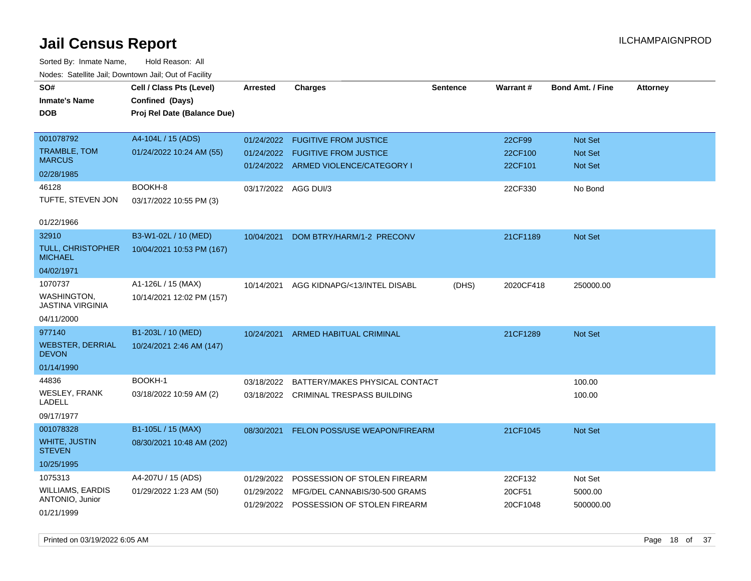| ivuuto. Galeinle Jan, Downlown Jan, Oul of Facility |                             |                      |                                           |                 |           |                         |                 |
|-----------------------------------------------------|-----------------------------|----------------------|-------------------------------------------|-----------------|-----------|-------------------------|-----------------|
| SO#                                                 | Cell / Class Pts (Level)    | <b>Arrested</b>      | <b>Charges</b>                            | <b>Sentence</b> | Warrant#  | <b>Bond Amt. / Fine</b> | <b>Attorney</b> |
| <b>Inmate's Name</b>                                | Confined (Days)             |                      |                                           |                 |           |                         |                 |
| <b>DOB</b>                                          | Proj Rel Date (Balance Due) |                      |                                           |                 |           |                         |                 |
|                                                     |                             |                      |                                           |                 |           |                         |                 |
| 001078792                                           | A4-104L / 15 (ADS)          |                      | 01/24/2022 FUGITIVE FROM JUSTICE          |                 | 22CF99    | <b>Not Set</b>          |                 |
| <b>TRAMBLE, TOM</b>                                 | 01/24/2022 10:24 AM (55)    |                      | 01/24/2022 FUGITIVE FROM JUSTICE          |                 | 22CF100   | Not Set                 |                 |
| <b>MARCUS</b>                                       |                             |                      | 01/24/2022 ARMED VIOLENCE/CATEGORY I      |                 | 22CF101   | <b>Not Set</b>          |                 |
| 02/28/1985                                          |                             |                      |                                           |                 |           |                         |                 |
| 46128                                               | BOOKH-8                     | 03/17/2022 AGG DUI/3 |                                           |                 | 22CF330   | No Bond                 |                 |
| TUFTE, STEVEN JON                                   | 03/17/2022 10:55 PM (3)     |                      |                                           |                 |           |                         |                 |
| 01/22/1966                                          |                             |                      |                                           |                 |           |                         |                 |
| 32910                                               | B3-W1-02L / 10 (MED)        | 10/04/2021           | DOM BTRY/HARM/1-2 PRECONV                 |                 | 21CF1189  | Not Set                 |                 |
| <b>TULL, CHRISTOPHER</b><br><b>MICHAEL</b>          | 10/04/2021 10:53 PM (167)   |                      |                                           |                 |           |                         |                 |
| 04/02/1971                                          |                             |                      |                                           |                 |           |                         |                 |
| 1070737                                             | A1-126L / 15 (MAX)          | 10/14/2021           | AGG KIDNAPG/<13/INTEL DISABL              | (DHS)           | 2020CF418 | 250000.00               |                 |
| WASHINGTON,<br>JASTINA VIRGINIA                     | 10/14/2021 12:02 PM (157)   |                      |                                           |                 |           |                         |                 |
| 04/11/2000                                          |                             |                      |                                           |                 |           |                         |                 |
| 977140                                              | B1-203L / 10 (MED)          |                      | 10/24/2021 ARMED HABITUAL CRIMINAL        |                 | 21CF1289  | <b>Not Set</b>          |                 |
| <b>WEBSTER, DERRIAL</b><br><b>DEVON</b>             | 10/24/2021 2:46 AM (147)    |                      |                                           |                 |           |                         |                 |
| 01/14/1990                                          |                             |                      |                                           |                 |           |                         |                 |
| 44836                                               | BOOKH-1                     |                      | 03/18/2022 BATTERY/MAKES PHYSICAL CONTACT |                 |           | 100.00                  |                 |
| <b>WESLEY, FRANK</b><br><b>LADELL</b>               | 03/18/2022 10:59 AM (2)     |                      | 03/18/2022 CRIMINAL TRESPASS BUILDING     |                 |           | 100.00                  |                 |
| 09/17/1977                                          |                             |                      |                                           |                 |           |                         |                 |
| 001078328                                           | B1-105L / 15 (MAX)          | 08/30/2021           | FELON POSS/USE WEAPON/FIREARM             |                 | 21CF1045  | Not Set                 |                 |
| <b>WHITE, JUSTIN</b><br><b>STEVEN</b>               | 08/30/2021 10:48 AM (202)   |                      |                                           |                 |           |                         |                 |
| 10/25/1995                                          |                             |                      |                                           |                 |           |                         |                 |
| 1075313                                             | A4-207U / 15 (ADS)          | 01/29/2022           | POSSESSION OF STOLEN FIREARM              |                 | 22CF132   | Not Set                 |                 |
| <b>WILLIAMS, EARDIS</b>                             | 01/29/2022 1:23 AM (50)     |                      | 01/29/2022 MFG/DEL CANNABIS/30-500 GRAMS  |                 | 20CF51    | 5000.00                 |                 |
| ANTONIO, Junior                                     |                             |                      | 01/29/2022 POSSESSION OF STOLEN FIREARM   |                 | 20CF1048  | 500000.00               |                 |
| 01/21/1999                                          |                             |                      |                                           |                 |           |                         |                 |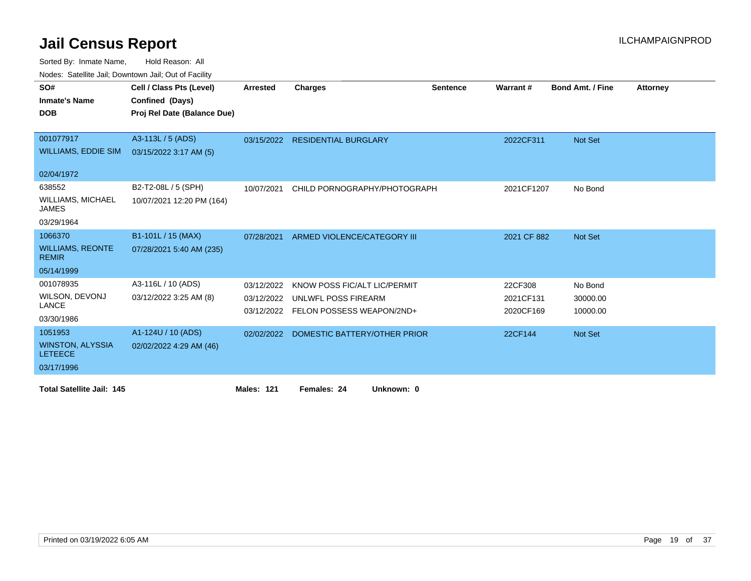Sorted By: Inmate Name, Hold Reason: All

Nodes: Satellite Jail; Downtown Jail; Out of Facility

| SO#                                       | Cell / Class Pts (Level)    | <b>Arrested</b> | <b>Charges</b>                       | <b>Sentence</b> | Warrant#    | <b>Bond Amt. / Fine</b> | <b>Attorney</b> |
|-------------------------------------------|-----------------------------|-----------------|--------------------------------------|-----------------|-------------|-------------------------|-----------------|
| <b>Inmate's Name</b>                      | Confined (Days)             |                 |                                      |                 |             |                         |                 |
| <b>DOB</b>                                | Proj Rel Date (Balance Due) |                 |                                      |                 |             |                         |                 |
|                                           |                             |                 |                                      |                 |             |                         |                 |
| 001077917                                 | A3-113L / 5 (ADS)           | 03/15/2022      | <b>RESIDENTIAL BURGLARY</b>          |                 | 2022CF311   | Not Set                 |                 |
| <b>WILLIAMS, EDDIE SIM</b>                | 03/15/2022 3:17 AM (5)      |                 |                                      |                 |             |                         |                 |
|                                           |                             |                 |                                      |                 |             |                         |                 |
| 02/04/1972                                |                             |                 |                                      |                 |             |                         |                 |
| 638552                                    | B2-T2-08L / 5 (SPH)         | 10/07/2021      | CHILD PORNOGRAPHY/PHOTOGRAPH         |                 | 2021CF1207  | No Bond                 |                 |
| <b>WILLIAMS, MICHAEL</b><br><b>JAMES</b>  | 10/07/2021 12:20 PM (164)   |                 |                                      |                 |             |                         |                 |
| 03/29/1964                                |                             |                 |                                      |                 |             |                         |                 |
| 1066370                                   | B1-101L / 15 (MAX)          | 07/28/2021      | ARMED VIOLENCE/CATEGORY III          |                 | 2021 CF 882 | Not Set                 |                 |
| <b>WILLIAMS, REONTE</b><br><b>REMIR</b>   | 07/28/2021 5:40 AM (235)    |                 |                                      |                 |             |                         |                 |
| 05/14/1999                                |                             |                 |                                      |                 |             |                         |                 |
| 001078935                                 | A3-116L / 10 (ADS)          | 03/12/2022      | KNOW POSS FIC/ALT LIC/PERMIT         |                 | 22CF308     | No Bond                 |                 |
| WILSON, DEVONJ                            | 03/12/2022 3:25 AM (8)      | 03/12/2022      | UNLWFL POSS FIREARM                  |                 | 2021CF131   | 30000.00                |                 |
| <b>LANCE</b>                              |                             |                 | 03/12/2022 FELON POSSESS WEAPON/2ND+ |                 | 2020CF169   | 10000.00                |                 |
| 03/30/1986                                |                             |                 |                                      |                 |             |                         |                 |
| 1051953                                   | A1-124U / 10 (ADS)          | 02/02/2022      | DOMESTIC BATTERY/OTHER PRIOR         |                 | 22CF144     | Not Set                 |                 |
| <b>WINSTON, ALYSSIA</b><br><b>LETEECE</b> | 02/02/2022 4:29 AM (46)     |                 |                                      |                 |             |                         |                 |
| 03/17/1996                                |                             |                 |                                      |                 |             |                         |                 |
| <b>Total Satellite Jail: 145</b>          |                             | Males: 121      | Females: 24<br>Unknown: 0            |                 |             |                         |                 |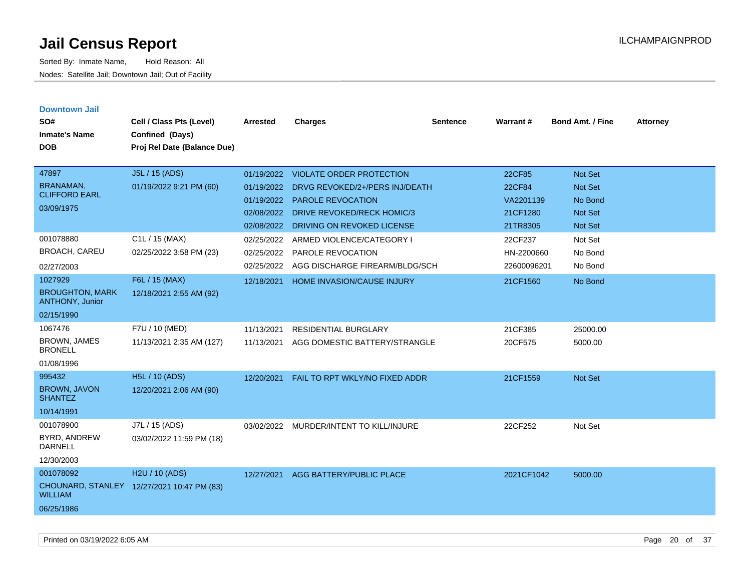| <b>Downtown Jail</b><br>SO#<br><b>Inmate's Name</b><br><b>DOB</b>         | Cell / Class Pts (Level)<br>Confined (Days)<br>Proj Rel Date (Balance Due) | <b>Arrested</b>                                                    | <b>Charges</b>                                                                                                                                                   | <b>Sentence</b> | Warrant#                                              | <b>Bond Amt. / Fine</b>                                                         | <b>Attorney</b> |
|---------------------------------------------------------------------------|----------------------------------------------------------------------------|--------------------------------------------------------------------|------------------------------------------------------------------------------------------------------------------------------------------------------------------|-----------------|-------------------------------------------------------|---------------------------------------------------------------------------------|-----------------|
| 47897<br><b>BRANAMAN,</b><br><b>CLIFFORD EARL</b><br>03/09/1975           | J5L / 15 (ADS)<br>01/19/2022 9:21 PM (60)                                  | 01/19/2022<br>01/19/2022<br>01/19/2022<br>02/08/2022<br>02/08/2022 | <b>VIOLATE ORDER PROTECTION</b><br>DRVG REVOKED/2+/PERS INJ/DEATH<br><b>PAROLE REVOCATION</b><br><b>DRIVE REVOKED/RECK HOMIC/3</b><br>DRIVING ON REVOKED LICENSE |                 | 22CF85<br>22CF84<br>VA2201139<br>21CF1280<br>21TR8305 | <b>Not Set</b><br><b>Not Set</b><br>No Bond<br><b>Not Set</b><br><b>Not Set</b> |                 |
| 001078880<br><b>BROACH, CAREU</b><br>02/27/2003                           | C1L / 15 (MAX)<br>02/25/2022 3:58 PM (23)                                  | 02/25/2022<br>02/25/2022<br>02/25/2022                             | ARMED VIOLENCE/CATEGORY I<br>PAROLE REVOCATION<br>AGG DISCHARGE FIREARM/BLDG/SCH                                                                                 |                 | 22CF237<br>HN-2200660<br>22600096201                  | Not Set<br>No Bond<br>No Bond                                                   |                 |
| 1027929<br><b>BROUGHTON, MARK</b><br><b>ANTHONY, Junior</b><br>02/15/1990 | F6L / 15 (MAX)<br>12/18/2021 2:55 AM (92)                                  | 12/18/2021                                                         | HOME INVASION/CAUSE INJURY                                                                                                                                       |                 | 21CF1560                                              | No Bond                                                                         |                 |
| 1067476<br><b>BROWN, JAMES</b><br><b>BRONELL</b><br>01/08/1996            | F7U / 10 (MED)<br>11/13/2021 2:35 AM (127)                                 | 11/13/2021<br>11/13/2021                                           | <b>RESIDENTIAL BURGLARY</b><br>AGG DOMESTIC BATTERY/STRANGLE                                                                                                     |                 | 21CF385<br>20CF575                                    | 25000.00<br>5000.00                                                             |                 |
| 995432<br><b>BROWN, JAVON</b><br><b>SHANTEZ</b><br>10/14/1991             | H5L / 10 (ADS)<br>12/20/2021 2:06 AM (90)                                  | 12/20/2021                                                         | FAIL TO RPT WKLY/NO FIXED ADDR                                                                                                                                   |                 | 21CF1559                                              | <b>Not Set</b>                                                                  |                 |
| 001078900<br>BYRD, ANDREW<br><b>DARNELL</b><br>12/30/2003                 | J7L / 15 (ADS)<br>03/02/2022 11:59 PM (18)                                 |                                                                    | 03/02/2022 MURDER/INTENT TO KILL/INJURE                                                                                                                          |                 | 22CF252                                               | Not Set                                                                         |                 |
| 001078092<br><b>WILLIAM</b><br>06/25/1986                                 | H <sub>2</sub> U / 10 (ADS)<br>CHOUNARD, STANLEY 12/27/2021 10:47 PM (83)  | 12/27/2021                                                         | AGG BATTERY/PUBLIC PLACE                                                                                                                                         |                 | 2021CF1042                                            | 5000.00                                                                         |                 |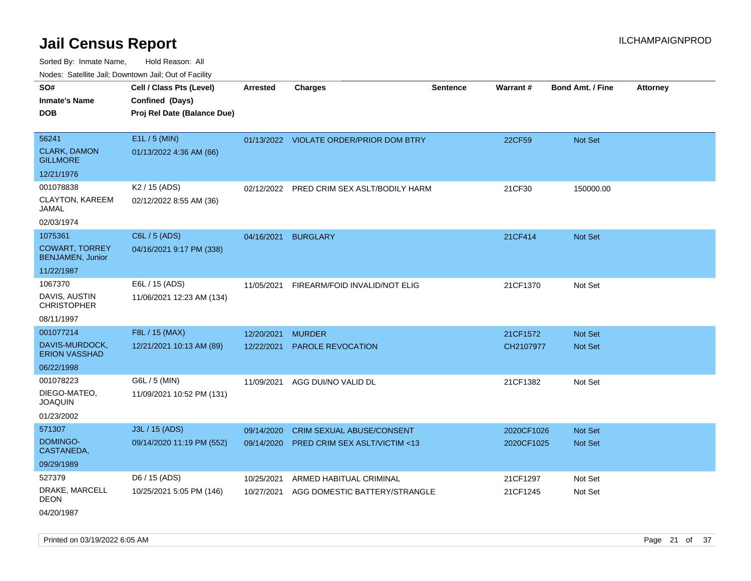Sorted By: Inmate Name, Hold Reason: All Nodes: Satellite Jail; Downtown Jail; Out of Facility

| roaco. Catolino cali, Domntonn cali, Out of Facility |                             |                 |                                         |                 |            |                         |                 |
|------------------------------------------------------|-----------------------------|-----------------|-----------------------------------------|-----------------|------------|-------------------------|-----------------|
| SO#                                                  | Cell / Class Pts (Level)    | <b>Arrested</b> | Charges                                 | <b>Sentence</b> | Warrant#   | <b>Bond Amt. / Fine</b> | <b>Attorney</b> |
| <b>Inmate's Name</b>                                 | Confined (Days)             |                 |                                         |                 |            |                         |                 |
| <b>DOB</b>                                           | Proj Rel Date (Balance Due) |                 |                                         |                 |            |                         |                 |
|                                                      |                             |                 |                                         |                 |            |                         |                 |
| 56241                                                | E1L / 5 (MIN)               |                 | 01/13/2022 VIOLATE ORDER/PRIOR DOM BTRY |                 | 22CF59     | Not Set                 |                 |
| <b>CLARK, DAMON</b><br><b>GILLMORE</b>               | 01/13/2022 4:36 AM (66)     |                 |                                         |                 |            |                         |                 |
| 12/21/1976                                           |                             |                 |                                         |                 |            |                         |                 |
| 001078838                                            | K <sub>2</sub> / 15 (ADS)   | 02/12/2022      | PRED CRIM SEX ASLT/BODILY HARM          |                 | 21CF30     | 150000.00               |                 |
| <b>CLAYTON, KAREEM</b><br>JAMAL                      | 02/12/2022 8:55 AM (36)     |                 |                                         |                 |            |                         |                 |
| 02/03/1974                                           |                             |                 |                                         |                 |            |                         |                 |
| 1075361                                              | C6L / 5 (ADS)               | 04/16/2021      | <b>BURGLARY</b>                         |                 | 21CF414    | Not Set                 |                 |
| <b>COWART, TORREY</b><br><b>BENJAMEN, Junior</b>     | 04/16/2021 9:17 PM (338)    |                 |                                         |                 |            |                         |                 |
| 11/22/1987                                           |                             |                 |                                         |                 |            |                         |                 |
| 1067370                                              | E6L / 15 (ADS)              | 11/05/2021      | FIREARM/FOID INVALID/NOT ELIG           |                 | 21CF1370   | Not Set                 |                 |
| DAVIS, AUSTIN<br><b>CHRISTOPHER</b>                  | 11/06/2021 12:23 AM (134)   |                 |                                         |                 |            |                         |                 |
| 08/11/1997                                           |                             |                 |                                         |                 |            |                         |                 |
| 001077214                                            | F8L / 15 (MAX)              | 12/20/2021      | <b>MURDER</b>                           |                 | 21CF1572   | Not Set                 |                 |
| DAVIS-MURDOCK,<br><b>ERION VASSHAD</b>               | 12/21/2021 10:13 AM (89)    |                 | 12/22/2021 PAROLE REVOCATION            |                 | CH2107977  | Not Set                 |                 |
| 06/22/1998                                           |                             |                 |                                         |                 |            |                         |                 |
| 001078223                                            | G6L / 5 (MIN)               | 11/09/2021      | AGG DUI/NO VALID DL                     |                 | 21CF1382   | Not Set                 |                 |
| DIEGO-MATEO,<br><b>JOAQUIN</b>                       | 11/09/2021 10:52 PM (131)   |                 |                                         |                 |            |                         |                 |
| 01/23/2002                                           |                             |                 |                                         |                 |            |                         |                 |
| 571307                                               | J3L / 15 (ADS)              | 09/14/2020      | <b>CRIM SEXUAL ABUSE/CONSENT</b>        |                 | 2020CF1026 | <b>Not Set</b>          |                 |
| DOMINGO-<br>CASTANEDA,                               | 09/14/2020 11:19 PM (552)   | 09/14/2020      | PRED CRIM SEX ASLT/VICTIM <13           |                 | 2020CF1025 | Not Set                 |                 |
| 09/29/1989                                           |                             |                 |                                         |                 |            |                         |                 |
| 527379                                               | D6 / 15 (ADS)               | 10/25/2021      | ARMED HABITUAL CRIMINAL                 |                 | 21CF1297   | Not Set                 |                 |
| DRAKE, MARCELL<br>DEON                               | 10/25/2021 5:05 PM (146)    | 10/27/2021      | AGG DOMESTIC BATTERY/STRANGLE           |                 | 21CF1245   | Not Set                 |                 |
| 04/20/1987                                           |                             |                 |                                         |                 |            |                         |                 |

Printed on 03/19/2022 6:05 AM **Page 21 of 37**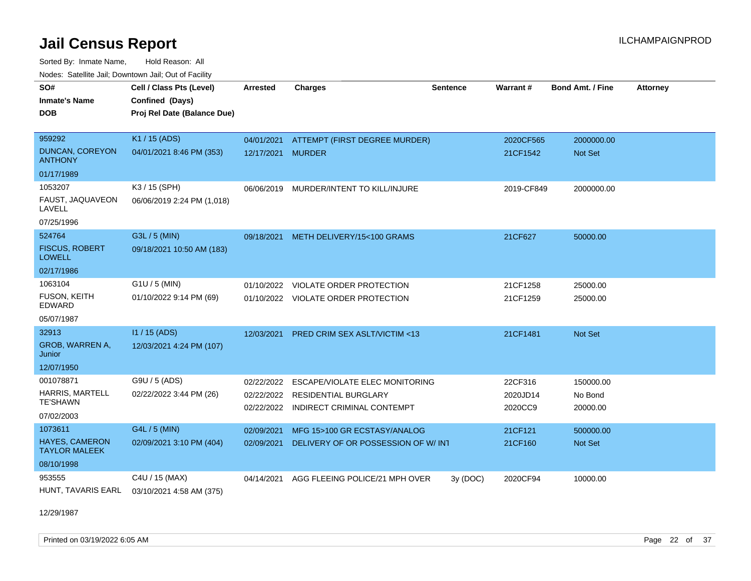Sorted By: Inmate Name, Hold Reason: All Nodes: Satellite Jail; Downtown Jail; Out of Facility

| SO#<br><b>Inmate's Name</b><br><b>DOB</b> | Cell / Class Pts (Level)<br>Confined (Days)<br>Proj Rel Date (Balance Due) | <b>Arrested</b> | <b>Charges</b>                          | <b>Sentence</b> | Warrant#   | <b>Bond Amt. / Fine</b> | <b>Attorney</b> |
|-------------------------------------------|----------------------------------------------------------------------------|-----------------|-----------------------------------------|-----------------|------------|-------------------------|-----------------|
| 959292                                    | K1 / 15 (ADS)                                                              | 04/01/2021      | ATTEMPT (FIRST DEGREE MURDER)           |                 | 2020CF565  | 2000000.00              |                 |
| <b>DUNCAN, COREYON</b><br><b>ANTHONY</b>  | 04/01/2021 8:46 PM (353)                                                   | 12/17/2021      | <b>MURDER</b>                           |                 | 21CF1542   | <b>Not Set</b>          |                 |
| 01/17/1989                                |                                                                            |                 |                                         |                 |            |                         |                 |
| 1053207                                   | K3 / 15 (SPH)                                                              |                 | 06/06/2019 MURDER/INTENT TO KILL/INJURE |                 | 2019-CF849 | 2000000.00              |                 |
| FAUST, JAQUAVEON<br>LAVELL                | 06/06/2019 2:24 PM (1,018)                                                 |                 |                                         |                 |            |                         |                 |
| 07/25/1996                                |                                                                            |                 |                                         |                 |            |                         |                 |
| 524764                                    | G3L / 5 (MIN)                                                              | 09/18/2021      | METH DELIVERY/15<100 GRAMS              |                 | 21CF627    | 50000.00                |                 |
| <b>FISCUS, ROBERT</b><br><b>LOWELL</b>    | 09/18/2021 10:50 AM (183)                                                  |                 |                                         |                 |            |                         |                 |
| 02/17/1986                                |                                                                            |                 |                                         |                 |            |                         |                 |
| 1063104                                   | $G1U / 5$ (MIN)                                                            | 01/10/2022      | VIOLATE ORDER PROTECTION                |                 | 21CF1258   | 25000.00                |                 |
| FUSON, KEITH<br><b>EDWARD</b>             | 01/10/2022 9:14 PM (69)                                                    |                 | 01/10/2022 VIOLATE ORDER PROTECTION     |                 | 21CF1259   | 25000.00                |                 |
| 05/07/1987                                |                                                                            |                 |                                         |                 |            |                         |                 |
| 32913                                     | I1 / 15 (ADS)                                                              | 12/03/2021      | PRED CRIM SEX ASLT/VICTIM <13           |                 | 21CF1481   | Not Set                 |                 |
| GROB, WARREN A,<br>Junior                 | 12/03/2021 4:24 PM (107)                                                   |                 |                                         |                 |            |                         |                 |
| 12/07/1950                                |                                                                            |                 |                                         |                 |            |                         |                 |
| 001078871                                 | G9U / 5 (ADS)                                                              | 02/22/2022      | ESCAPE/VIOLATE ELEC MONITORING          |                 | 22CF316    | 150000.00               |                 |
| HARRIS, MARTELL                           | 02/22/2022 3:44 PM (26)                                                    | 02/22/2022      | <b>RESIDENTIAL BURGLARY</b>             |                 | 2020JD14   | No Bond                 |                 |
| <b>TE'SHAWN</b><br>07/02/2003             |                                                                            | 02/22/2022      | INDIRECT CRIMINAL CONTEMPT              |                 | 2020CC9    | 20000.00                |                 |
| 1073611                                   | G4L / 5 (MIN)                                                              |                 |                                         |                 |            |                         |                 |
| <b>HAYES, CAMERON</b>                     | 02/09/2021 3:10 PM (404)                                                   | 02/09/2021      | MFG 15>100 GR ECSTASY/ANALOG            |                 | 21CF121    | 500000.00               |                 |
| <b>TAYLOR MALEEK</b>                      |                                                                            | 02/09/2021      | DELIVERY OF OR POSSESSION OF W/INT      |                 | 21CF160    | Not Set                 |                 |
| 08/10/1998                                |                                                                            |                 |                                         |                 |            |                         |                 |
| 953555                                    | C4U / 15 (MAX)                                                             | 04/14/2021      | AGG FLEEING POLICE/21 MPH OVER          | 3y(DOC)         | 2020CF94   | 10000.00                |                 |
| HUNT, TAVARIS EARL                        | 03/10/2021 4:58 AM (375)                                                   |                 |                                         |                 |            |                         |                 |

12/29/1987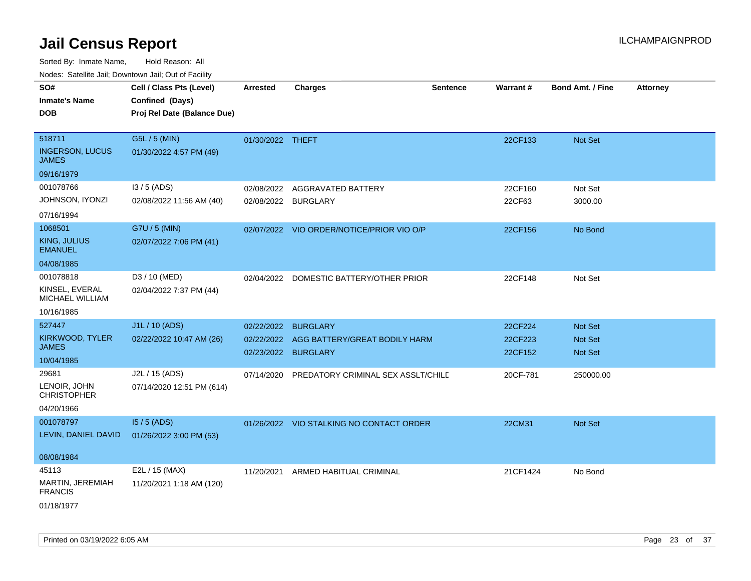Sorted By: Inmate Name, Hold Reason: All

| Nodes: Satellite Jail; Downtown Jail; Out of Facility |  |
|-------------------------------------------------------|--|
|-------------------------------------------------------|--|

| SO#                                    | Cell / Class Pts (Level)    | <b>Arrested</b>     | Charges                                   | <b>Sentence</b> | Warrant# | Bond Amt. / Fine | <b>Attorney</b> |
|----------------------------------------|-----------------------------|---------------------|-------------------------------------------|-----------------|----------|------------------|-----------------|
| <b>Inmate's Name</b>                   | Confined (Days)             |                     |                                           |                 |          |                  |                 |
| <b>DOB</b>                             | Proj Rel Date (Balance Due) |                     |                                           |                 |          |                  |                 |
|                                        |                             |                     |                                           |                 |          |                  |                 |
| 518711                                 | G5L / 5 (MIN)               | 01/30/2022 THEFT    |                                           |                 | 22CF133  | Not Set          |                 |
| <b>INGERSON, LUCUS</b><br><b>JAMES</b> | 01/30/2022 4:57 PM (49)     |                     |                                           |                 |          |                  |                 |
| 09/16/1979                             |                             |                     |                                           |                 |          |                  |                 |
| 001078766                              | $13/5$ (ADS)                | 02/08/2022          | AGGRAVATED BATTERY                        |                 | 22CF160  | Not Set          |                 |
| JOHNSON, IYONZI                        | 02/08/2022 11:56 AM (40)    | 02/08/2022 BURGLARY |                                           |                 | 22CF63   | 3000.00          |                 |
| 07/16/1994                             |                             |                     |                                           |                 |          |                  |                 |
| 1068501                                | G7U / 5 (MIN)               |                     | 02/07/2022 VIO ORDER/NOTICE/PRIOR VIO O/P |                 | 22CF156  | No Bond          |                 |
| <b>KING, JULIUS</b><br><b>EMANUEL</b>  | 02/07/2022 7:06 PM (41)     |                     |                                           |                 |          |                  |                 |
| 04/08/1985                             |                             |                     |                                           |                 |          |                  |                 |
| 001078818                              | D3 / 10 (MED)               |                     | 02/04/2022 DOMESTIC BATTERY/OTHER PRIOR   |                 | 22CF148  | Not Set          |                 |
| KINSEL, EVERAL<br>MICHAEL WILLIAM      | 02/04/2022 7:37 PM (44)     |                     |                                           |                 |          |                  |                 |
| 10/16/1985                             |                             |                     |                                           |                 |          |                  |                 |
| 527447                                 | J1L / 10 (ADS)              | 02/22/2022          | <b>BURGLARY</b>                           |                 | 22CF224  | <b>Not Set</b>   |                 |
| KIRKWOOD, TYLER                        | 02/22/2022 10:47 AM (26)    | 02/22/2022          | AGG BATTERY/GREAT BODILY HARM             |                 | 22CF223  | Not Set          |                 |
| <b>JAMES</b>                           |                             | 02/23/2022 BURGLARY |                                           |                 | 22CF152  | <b>Not Set</b>   |                 |
| 10/04/1985                             |                             |                     |                                           |                 |          |                  |                 |
| 29681                                  | J2L / 15 (ADS)              | 07/14/2020          | PREDATORY CRIMINAL SEX ASSLT/CHILD        |                 | 20CF-781 | 250000.00        |                 |
| LENOIR, JOHN<br><b>CHRISTOPHER</b>     | 07/14/2020 12:51 PM (614)   |                     |                                           |                 |          |                  |                 |
| 04/20/1966                             |                             |                     |                                           |                 |          |                  |                 |
| 001078797                              | $15/5$ (ADS)                |                     | 01/26/2022 VIO STALKING NO CONTACT ORDER  |                 | 22CM31   | Not Set          |                 |
| LEVIN, DANIEL DAVID                    | 01/26/2022 3:00 PM (53)     |                     |                                           |                 |          |                  |                 |
| 08/08/1984                             |                             |                     |                                           |                 |          |                  |                 |
| 45113                                  | E2L / 15 (MAX)              | 11/20/2021          | ARMED HABITUAL CRIMINAL                   |                 | 21CF1424 | No Bond          |                 |
| MARTIN, JEREMIAH                       | 11/20/2021 1:18 AM (120)    |                     |                                           |                 |          |                  |                 |
| <b>FRANCIS</b>                         |                             |                     |                                           |                 |          |                  |                 |
| 01/18/1977                             |                             |                     |                                           |                 |          |                  |                 |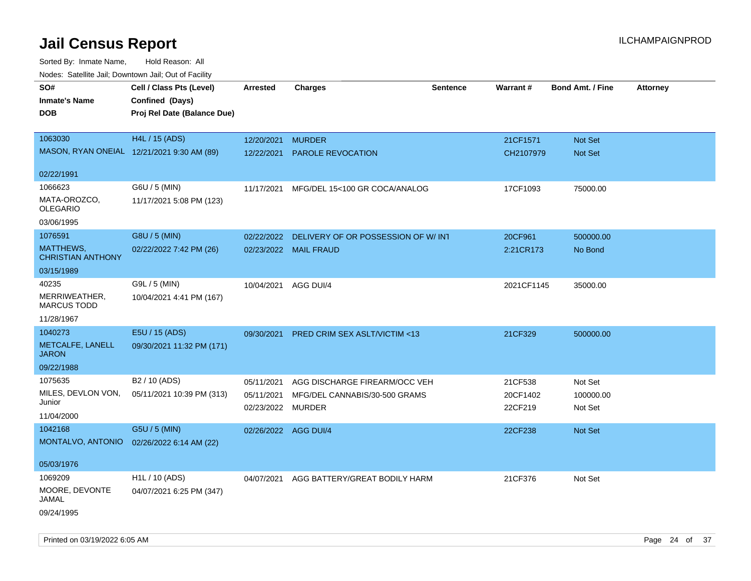| Noues. Salenne Jan, Downlown Jan, Out or Facility |                             |                      |                                         |                 |            |                         |                 |
|---------------------------------------------------|-----------------------------|----------------------|-----------------------------------------|-----------------|------------|-------------------------|-----------------|
| SO#                                               | Cell / Class Pts (Level)    | Arrested             | <b>Charges</b>                          | <b>Sentence</b> | Warrant#   | <b>Bond Amt. / Fine</b> | <b>Attorney</b> |
| <b>Inmate's Name</b>                              | Confined (Days)             |                      |                                         |                 |            |                         |                 |
| <b>DOB</b>                                        | Proj Rel Date (Balance Due) |                      |                                         |                 |            |                         |                 |
|                                                   |                             |                      |                                         |                 |            |                         |                 |
| 1063030                                           | H4L / 15 (ADS)              | 12/20/2021           | <b>MURDER</b>                           |                 | 21CF1571   | Not Set                 |                 |
| MASON, RYAN ONEIAL 12/21/2021 9:30 AM (89)        |                             | 12/22/2021           | <b>PAROLE REVOCATION</b>                |                 | CH2107979  | Not Set                 |                 |
|                                                   |                             |                      |                                         |                 |            |                         |                 |
| 02/22/1991                                        |                             |                      |                                         |                 |            |                         |                 |
| 1066623                                           | G6U / 5 (MIN)               | 11/17/2021           | MFG/DEL 15<100 GR COCA/ANALOG           |                 | 17CF1093   | 75000.00                |                 |
| MATA-OROZCO,<br><b>OLEGARIO</b>                   | 11/17/2021 5:08 PM (123)    |                      |                                         |                 |            |                         |                 |
| 03/06/1995                                        |                             |                      |                                         |                 |            |                         |                 |
| 1076591                                           | G8U / 5 (MIN)               | 02/22/2022           | DELIVERY OF OR POSSESSION OF W/INT      |                 | 20CF961    | 500000.00               |                 |
| MATTHEWS,<br><b>CHRISTIAN ANTHONY</b>             | 02/22/2022 7:42 PM (26)     |                      | 02/23/2022 MAIL FRAUD                   |                 | 2:21CR173  | No Bond                 |                 |
| 03/15/1989                                        |                             |                      |                                         |                 |            |                         |                 |
| 40235                                             | G9L / 5 (MIN)               | 10/04/2021           | AGG DUI/4                               |                 | 2021CF1145 | 35000.00                |                 |
| MERRIWEATHER,<br><b>MARCUS TODD</b>               | 10/04/2021 4:41 PM (167)    |                      |                                         |                 |            |                         |                 |
| 11/28/1967                                        |                             |                      |                                         |                 |            |                         |                 |
| 1040273                                           | E5U / 15 (ADS)              | 09/30/2021           | <b>PRED CRIM SEX ASLT/VICTIM &lt;13</b> |                 | 21CF329    | 500000.00               |                 |
| METCALFE, LANELL<br><b>JARON</b>                  | 09/30/2021 11:32 PM (171)   |                      |                                         |                 |            |                         |                 |
| 09/22/1988                                        |                             |                      |                                         |                 |            |                         |                 |
| 1075635                                           | B <sub>2</sub> / 10 (ADS)   | 05/11/2021           | AGG DISCHARGE FIREARM/OCC VEH           |                 | 21CF538    | Not Set                 |                 |
| MILES, DEVLON VON,                                | 05/11/2021 10:39 PM (313)   | 05/11/2021           | MFG/DEL CANNABIS/30-500 GRAMS           |                 | 20CF1402   | 100000.00               |                 |
| Junior                                            |                             | 02/23/2022 MURDER    |                                         |                 | 22CF219    | Not Set                 |                 |
| 11/04/2000                                        |                             |                      |                                         |                 |            |                         |                 |
| 1042168                                           | G5U / 5 (MIN)               | 02/26/2022 AGG DUI/4 |                                         |                 | 22CF238    | Not Set                 |                 |
| MONTALVO, ANTONIO                                 | 02/26/2022 6:14 AM (22)     |                      |                                         |                 |            |                         |                 |
| 05/03/1976                                        |                             |                      |                                         |                 |            |                         |                 |
| 1069209                                           | H <sub>1</sub> L / 10 (ADS) | 04/07/2021           | AGG BATTERY/GREAT BODILY HARM           |                 | 21CF376    | Not Set                 |                 |
| MOORE, DEVONTE<br>JAMAL                           | 04/07/2021 6:25 PM (347)    |                      |                                         |                 |            |                         |                 |
| 09/24/1995                                        |                             |                      |                                         |                 |            |                         |                 |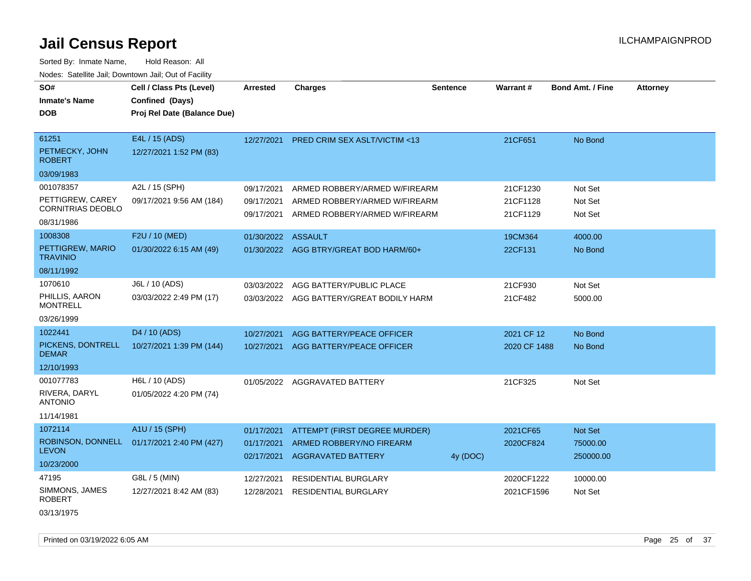| SO#<br><b>Inmate's Name</b><br><b>DOB</b>                               | Cell / Class Pts (Level)<br>Confined (Days)<br>Proj Rel Date (Balance Due) | Arrested                               | <b>Charges</b>                                                                                  | <b>Sentence</b> | <b>Warrant#</b>                  | <b>Bond Amt. / Fine</b>          | <b>Attorney</b> |
|-------------------------------------------------------------------------|----------------------------------------------------------------------------|----------------------------------------|-------------------------------------------------------------------------------------------------|-----------------|----------------------------------|----------------------------------|-----------------|
| 61251<br>PETMECKY, JOHN<br><b>ROBERT</b><br>03/09/1983                  | E4L / 15 (ADS)<br>12/27/2021 1:52 PM (83)                                  | 12/27/2021                             | PRED CRIM SEX ASLT/VICTIM <13                                                                   |                 | 21CF651                          | No Bond                          |                 |
| 001078357<br>PETTIGREW, CAREY<br><b>CORNITRIAS DEOBLO</b><br>08/31/1986 | A2L / 15 (SPH)<br>09/17/2021 9:56 AM (184)                                 | 09/17/2021<br>09/17/2021<br>09/17/2021 | ARMED ROBBERY/ARMED W/FIREARM<br>ARMED ROBBERY/ARMED W/FIREARM<br>ARMED ROBBERY/ARMED W/FIREARM |                 | 21CF1230<br>21CF1128<br>21CF1129 | Not Set<br>Not Set<br>Not Set    |                 |
| 1008308<br>PETTIGREW, MARIO<br><b>TRAVINIO</b><br>08/11/1992            | F2U / 10 (MED)<br>01/30/2022 6:15 AM (49)                                  | 01/30/2022 ASSAULT                     | 01/30/2022 AGG BTRY/GREAT BOD HARM/60+                                                          |                 | 19CM364<br>22CF131               | 4000.00<br>No Bond               |                 |
| 1070610<br>PHILLIS, AARON<br><b>MONTRELL</b><br>03/26/1999              | J6L / 10 (ADS)<br>03/03/2022 2:49 PM (17)                                  | 03/03/2022                             | AGG BATTERY/PUBLIC PLACE<br>03/03/2022 AGG BATTERY/GREAT BODILY HARM                            |                 | 21CF930<br>21CF482               | Not Set<br>5000.00               |                 |
| 1022441<br>PICKENS, DONTRELL<br><b>DEMAR</b><br>12/10/1993              | D <sub>4</sub> / 10 (ADS)<br>10/27/2021 1:39 PM (144)                      | 10/27/2021<br>10/27/2021               | AGG BATTERY/PEACE OFFICER<br>AGG BATTERY/PEACE OFFICER                                          |                 | 2021 CF 12<br>2020 CF 1488       | No Bond<br>No Bond               |                 |
| 001077783<br>RIVERA, DARYL<br><b>ANTONIO</b><br>11/14/1981              | H6L / 10 (ADS)<br>01/05/2022 4:20 PM (74)                                  | 01/05/2022                             | AGGRAVATED BATTERY                                                                              |                 | 21CF325                          | Not Set                          |                 |
| 1072114<br>ROBINSON, DONNELL<br><b>LEVON</b><br>10/23/2000              | A1U / 15 (SPH)<br>01/17/2021 2:40 PM (427)                                 | 01/17/2021<br>01/17/2021<br>02/17/2021 | ATTEMPT (FIRST DEGREE MURDER)<br>ARMED ROBBERY/NO FIREARM<br>AGGRAVATED BATTERY                 | 4y (DOC)        | 2021CF65<br>2020CF824            | Not Set<br>75000.00<br>250000.00 |                 |
| 47195<br>SIMMONS, JAMES<br><b>ROBERT</b><br>03/13/1975                  | G8L / 5 (MIN)<br>12/27/2021 8:42 AM (83)                                   | 12/27/2021<br>12/28/2021               | <b>RESIDENTIAL BURGLARY</b><br><b>RESIDENTIAL BURGLARY</b>                                      |                 | 2020CF1222<br>2021CF1596         | 10000.00<br>Not Set              |                 |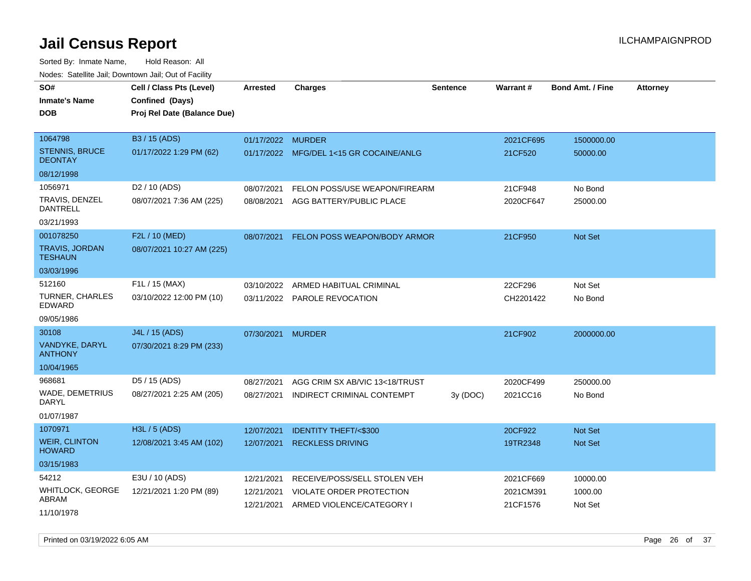Sorted By: Inmate Name, Hold Reason: All Nodes: Satellite Jail; Downtown Jail; Out of Facility

|                                         | wacs. Calcinic Jan, Downtown Jan, Out of Facility |                   |                                         |                 |           |                         |                 |
|-----------------------------------------|---------------------------------------------------|-------------------|-----------------------------------------|-----------------|-----------|-------------------------|-----------------|
| SO#                                     | Cell / Class Pts (Level)                          | <b>Arrested</b>   | <b>Charges</b>                          | <b>Sentence</b> | Warrant#  | <b>Bond Amt. / Fine</b> | <b>Attorney</b> |
| Inmate's Name                           | Confined (Days)                                   |                   |                                         |                 |           |                         |                 |
| DOB                                     | Proj Rel Date (Balance Due)                       |                   |                                         |                 |           |                         |                 |
|                                         |                                                   |                   |                                         |                 |           |                         |                 |
| 1064798                                 | B3 / 15 (ADS)                                     | 01/17/2022 MURDER |                                         |                 | 2021CF695 | 1500000.00              |                 |
| <b>STENNIS, BRUCE</b><br><b>DEONTAY</b> | 01/17/2022 1:29 PM (62)                           |                   | 01/17/2022 MFG/DEL 1<15 GR COCAINE/ANLG |                 | 21CF520   | 50000.00                |                 |
| 08/12/1998                              |                                                   |                   |                                         |                 |           |                         |                 |
| 1056971                                 | D <sub>2</sub> / 10 (ADS)                         | 08/07/2021        | FELON POSS/USE WEAPON/FIREARM           |                 | 21CF948   | No Bond                 |                 |
| TRAVIS, DENZEL<br><b>DANTRELL</b>       | 08/07/2021 7:36 AM (225)                          | 08/08/2021        | AGG BATTERY/PUBLIC PLACE                |                 | 2020CF647 | 25000.00                |                 |
| 03/21/1993                              |                                                   |                   |                                         |                 |           |                         |                 |
| 001078250                               | F2L / 10 (MED)                                    | 08/07/2021        | FELON POSS WEAPON/BODY ARMOR            |                 | 21CF950   | Not Set                 |                 |
| <b>TRAVIS, JORDAN</b><br><b>TESHAUN</b> | 08/07/2021 10:27 AM (225)                         |                   |                                         |                 |           |                         |                 |
| 03/03/1996                              |                                                   |                   |                                         |                 |           |                         |                 |
| 512160                                  | F1L / 15 (MAX)                                    | 03/10/2022        | ARMED HABITUAL CRIMINAL                 |                 | 22CF296   | Not Set                 |                 |
| TURNER, CHARLES<br><b>EDWARD</b>        | 03/10/2022 12:00 PM (10)                          |                   | 03/11/2022 PAROLE REVOCATION            |                 | CH2201422 | No Bond                 |                 |
| 09/05/1986                              |                                                   |                   |                                         |                 |           |                         |                 |
| 30108                                   | J4L / 15 (ADS)                                    | 07/30/2021        | <b>MURDER</b>                           |                 | 21CF902   | 2000000.00              |                 |
| <b>VANDYKE, DARYL</b><br><b>ANTHONY</b> | 07/30/2021 8:29 PM (233)                          |                   |                                         |                 |           |                         |                 |
| 10/04/1965                              |                                                   |                   |                                         |                 |           |                         |                 |
| 968681                                  | D5 / 15 (ADS)                                     | 08/27/2021        | AGG CRIM SX AB/VIC 13<18/TRUST          |                 | 2020CF499 | 250000.00               |                 |
| WADE, DEMETRIUS<br><b>DARYL</b>         | 08/27/2021 2:25 AM (205)                          | 08/27/2021        | INDIRECT CRIMINAL CONTEMPT              | 3y (DOC)        | 2021CC16  | No Bond                 |                 |
| 01/07/1987                              |                                                   |                   |                                         |                 |           |                         |                 |
| 1070971                                 | H3L / 5 (ADS)                                     | 12/07/2021        | <b>IDENTITY THEFT/&lt;\$300</b>         |                 | 20CF922   | <b>Not Set</b>          |                 |
| <b>WEIR, CLINTON</b><br><b>HOWARD</b>   | 12/08/2021 3:45 AM (102)                          | 12/07/2021        | <b>RECKLESS DRIVING</b>                 |                 | 19TR2348  | <b>Not Set</b>          |                 |
| 03/15/1983                              |                                                   |                   |                                         |                 |           |                         |                 |
| 54212                                   | E3U / 10 (ADS)                                    | 12/21/2021        | RECEIVE/POSS/SELL STOLEN VEH            |                 | 2021CF669 | 10000.00                |                 |
| <b>WHITLOCK, GEORGE</b><br>ABRAM        | 12/21/2021 1:20 PM (89)                           | 12/21/2021        | VIOLATE ORDER PROTECTION                |                 | 2021CM391 | 1000.00                 |                 |
| 11/10/1978                              |                                                   | 12/21/2021        | ARMED VIOLENCE/CATEGORY I               |                 | 21CF1576  | Not Set                 |                 |

Printed on 03/19/2022 6:05 AM Page 26 of 37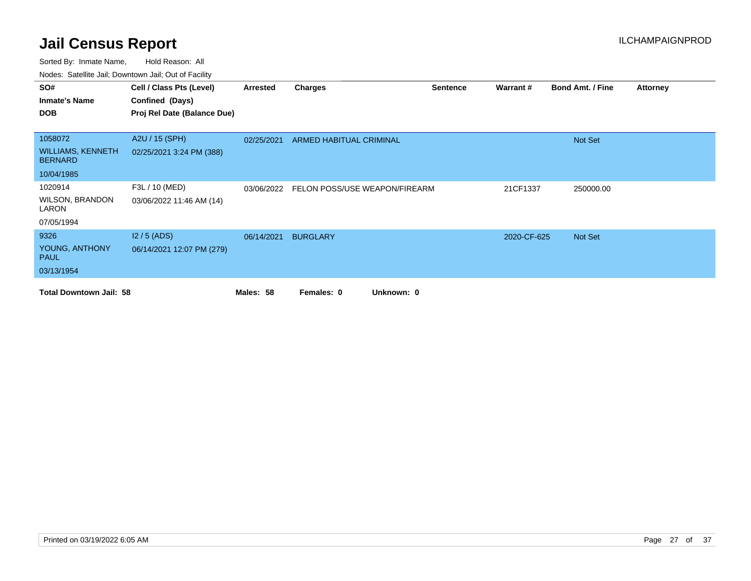| SO#                                        | Cell / Class Pts (Level)    | Arrested   | <b>Charges</b>                           | <b>Sentence</b> | Warrant#    | <b>Bond Amt. / Fine</b> | <b>Attorney</b> |
|--------------------------------------------|-----------------------------|------------|------------------------------------------|-----------------|-------------|-------------------------|-----------------|
| <b>Inmate's Name</b>                       | Confined (Days)             |            |                                          |                 |             |                         |                 |
| <b>DOB</b>                                 | Proj Rel Date (Balance Due) |            |                                          |                 |             |                         |                 |
|                                            |                             |            |                                          |                 |             |                         |                 |
| 1058072                                    | A2U / 15 (SPH)              | 02/25/2021 | ARMED HABITUAL CRIMINAL                  |                 |             | Not Set                 |                 |
| <b>WILLIAMS, KENNETH</b><br><b>BERNARD</b> | 02/25/2021 3:24 PM (388)    |            |                                          |                 |             |                         |                 |
| 10/04/1985                                 |                             |            |                                          |                 |             |                         |                 |
| 1020914                                    | F3L / 10 (MED)              |            | 03/06/2022 FELON POSS/USE WEAPON/FIREARM |                 | 21CF1337    | 250000.00               |                 |
| <b>WILSON, BRANDON</b><br>LARON            | 03/06/2022 11:46 AM (14)    |            |                                          |                 |             |                         |                 |
| 07/05/1994                                 |                             |            |                                          |                 |             |                         |                 |
| 9326                                       | $12/5$ (ADS)                | 06/14/2021 | <b>BURGLARY</b>                          |                 | 2020-CF-625 | Not Set                 |                 |
| YOUNG, ANTHONY<br><b>PAUL</b>              | 06/14/2021 12:07 PM (279)   |            |                                          |                 |             |                         |                 |
| 03/13/1954                                 |                             |            |                                          |                 |             |                         |                 |
| <b>Total Downtown Jail: 58</b>             |                             | Males: 58  | Unknown: 0<br>Females: 0                 |                 |             |                         |                 |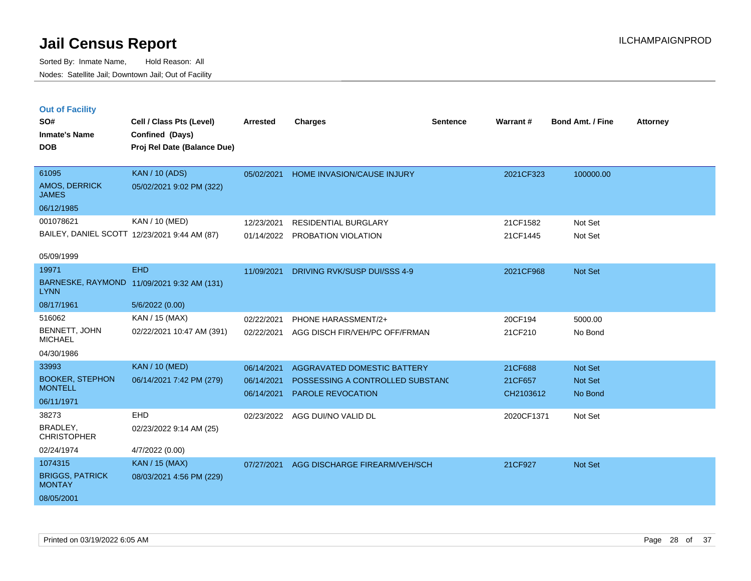| <b>Out of Facility</b> |  |
|------------------------|--|
|------------------------|--|

| SO#                                     | Cell / Class Pts (Level)                     | <b>Arrested</b> | <b>Charges</b>                   | <b>Sentence</b> | Warrant#   | <b>Bond Amt. / Fine</b> | <b>Attorney</b> |
|-----------------------------------------|----------------------------------------------|-----------------|----------------------------------|-----------------|------------|-------------------------|-----------------|
| <b>Inmate's Name</b>                    | Confined (Days)                              |                 |                                  |                 |            |                         |                 |
| <b>DOB</b>                              | Proj Rel Date (Balance Due)                  |                 |                                  |                 |            |                         |                 |
| 61095                                   | <b>KAN / 10 (ADS)</b>                        | 05/02/2021      | HOME INVASION/CAUSE INJURY       |                 | 2021CF323  | 100000.00               |                 |
| AMOS, DERRICK<br><b>JAMES</b>           | 05/02/2021 9:02 PM (322)                     |                 |                                  |                 |            |                         |                 |
| 06/12/1985                              |                                              |                 |                                  |                 |            |                         |                 |
| 001078621                               | KAN / 10 (MED)                               | 12/23/2021      | <b>RESIDENTIAL BURGLARY</b>      |                 | 21CF1582   | Not Set                 |                 |
|                                         | BAILEY, DANIEL SCOTT 12/23/2021 9:44 AM (87) |                 | 01/14/2022 PROBATION VIOLATION   |                 | 21CF1445   | Not Set                 |                 |
|                                         |                                              |                 |                                  |                 |            |                         |                 |
| 05/09/1999                              |                                              |                 |                                  |                 |            |                         |                 |
| 19971                                   | <b>EHD</b>                                   | 11/09/2021      | DRIVING RVK/SUSP DUI/SSS 4-9     |                 | 2021CF968  | Not Set                 |                 |
| <b>LYNN</b>                             | BARNESKE, RAYMOND 11/09/2021 9:32 AM (131)   |                 |                                  |                 |            |                         |                 |
| 08/17/1961                              | 5/6/2022 (0.00)                              |                 |                                  |                 |            |                         |                 |
| 516062                                  | KAN / 15 (MAX)                               | 02/22/2021      | PHONE HARASSMENT/2+              |                 | 20CF194    | 5000.00                 |                 |
| <b>BENNETT, JOHN</b><br><b>MICHAEL</b>  | 02/22/2021 10:47 AM (391)                    | 02/22/2021      | AGG DISCH FIR/VEH/PC OFF/FRMAN   |                 | 21CF210    | No Bond                 |                 |
| 04/30/1986                              |                                              |                 |                                  |                 |            |                         |                 |
| 33993                                   | <b>KAN / 10 (MED)</b>                        | 06/14/2021      | AGGRAVATED DOMESTIC BATTERY      |                 | 21CF688    | Not Set                 |                 |
| <b>BOOKER, STEPHON</b>                  | 06/14/2021 7:42 PM (279)                     | 06/14/2021      | POSSESSING A CONTROLLED SUBSTANC |                 | 21CF657    | Not Set                 |                 |
| <b>MONTELL</b>                          |                                              | 06/14/2021      | PAROLE REVOCATION                |                 | CH2103612  | No Bond                 |                 |
| 06/11/1971<br>38273                     | <b>EHD</b>                                   |                 |                                  |                 |            |                         |                 |
| BRADLEY,                                |                                              | 02/23/2022      | AGG DUI/NO VALID DL              |                 | 2020CF1371 | Not Set                 |                 |
| <b>CHRISTOPHER</b>                      | 02/23/2022 9:14 AM (25)                      |                 |                                  |                 |            |                         |                 |
| 02/24/1974                              | 4/7/2022 (0.00)                              |                 |                                  |                 |            |                         |                 |
| 1074315                                 | <b>KAN / 15 (MAX)</b>                        | 07/27/2021      | AGG DISCHARGE FIREARM/VEH/SCH    |                 | 21CF927    | Not Set                 |                 |
| <b>BRIGGS, PATRICK</b><br><b>MONTAY</b> | 08/03/2021 4:56 PM (229)                     |                 |                                  |                 |            |                         |                 |
| 08/05/2001                              |                                              |                 |                                  |                 |            |                         |                 |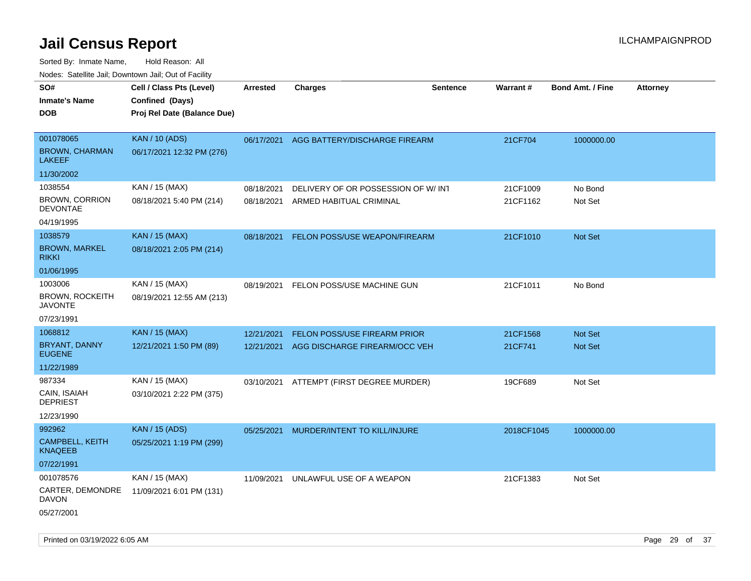| 10000. Catolino can, Domntonn can, Oat or I domt                                |                                                                            |                          |                                                                                                           |                 |                                |                                             |                 |
|---------------------------------------------------------------------------------|----------------------------------------------------------------------------|--------------------------|-----------------------------------------------------------------------------------------------------------|-----------------|--------------------------------|---------------------------------------------|-----------------|
| SO#<br>Inmate's Name<br><b>DOB</b>                                              | Cell / Class Pts (Level)<br>Confined (Days)<br>Proj Rel Date (Balance Due) | Arrested                 | <b>Charges</b>                                                                                            | <b>Sentence</b> | <b>Warrant#</b>                | <b>Bond Amt. / Fine</b>                     | <b>Attorney</b> |
| 001078065<br><b>BROWN, CHARMAN</b><br>LAKEEF                                    | <b>KAN / 10 (ADS)</b><br>06/17/2021 12:32 PM (276)                         | 06/17/2021               | AGG BATTERY/DISCHARGE FIREARM                                                                             |                 | 21CF704                        | 1000000.00                                  |                 |
| 11/30/2002<br>1038554<br><b>BROWN, CORRION</b><br><b>DEVONTAE</b><br>04/19/1995 | KAN / 15 (MAX)<br>08/18/2021 5:40 PM (214)                                 | 08/18/2021<br>08/18/2021 | DELIVERY OF OR POSSESSION OF W/INT<br>ARMED HABITUAL CRIMINAL                                             |                 | 21CF1009<br>21CF1162           | No Bond<br>Not Set                          |                 |
| 1038579<br><b>BROWN, MARKEL</b><br>rikki                                        | <b>KAN / 15 (MAX)</b><br>08/18/2021 2:05 PM (214)                          | 08/18/2021               | FELON POSS/USE WEAPON/FIREARM                                                                             |                 | 21CF1010                       | Not Set                                     |                 |
| 01/06/1995<br>1003006<br><b>BROWN, ROCKEITH</b><br>JAVONTE                      | KAN / 15 (MAX)<br>08/19/2021 12:55 AM (213)                                | 08/19/2021               | FELON POSS/USE MACHINE GUN                                                                                |                 | 21CF1011                       | No Bond                                     |                 |
| 07/23/1991<br>1068812<br>BRYANT, DANNY<br><b>EUGENE</b><br>11/22/1989<br>987334 | <b>KAN</b> / 15 (MAX)<br>12/21/2021 1:50 PM (89)<br>KAN / 15 (MAX)         | 12/21/2021<br>12/21/2021 | FELON POSS/USE FIREARM PRIOR<br>AGG DISCHARGE FIREARM/OCC VEH<br>03/10/2021 ATTEMPT (FIRST DEGREE MURDER) |                 | 21CF1568<br>21CF741<br>19CF689 | <b>Not Set</b><br><b>Not Set</b><br>Not Set |                 |
| CAIN, ISAIAH<br><b>DEPRIEST</b><br>12/23/1990                                   | 03/10/2021 2:22 PM (375)                                                   |                          |                                                                                                           |                 |                                |                                             |                 |
| 992962<br><b>CAMPBELL, KEITH</b><br>KNAQEEB<br>07/22/1991                       | <b>KAN</b> / 15 (ADS)<br>05/25/2021 1:19 PM (299)                          | 05/25/2021               | MURDER/INTENT TO KILL/INJURE                                                                              |                 | 2018CF1045                     | 1000000.00                                  |                 |
| 001078576<br>CARTER, DEMONDRE<br>DAVON<br>05/27/2001                            | KAN / 15 (MAX)<br>11/09/2021 6:01 PM (131)                                 | 11/09/2021               | UNLAWFUL USE OF A WEAPON                                                                                  |                 | 21CF1383                       | Not Set                                     |                 |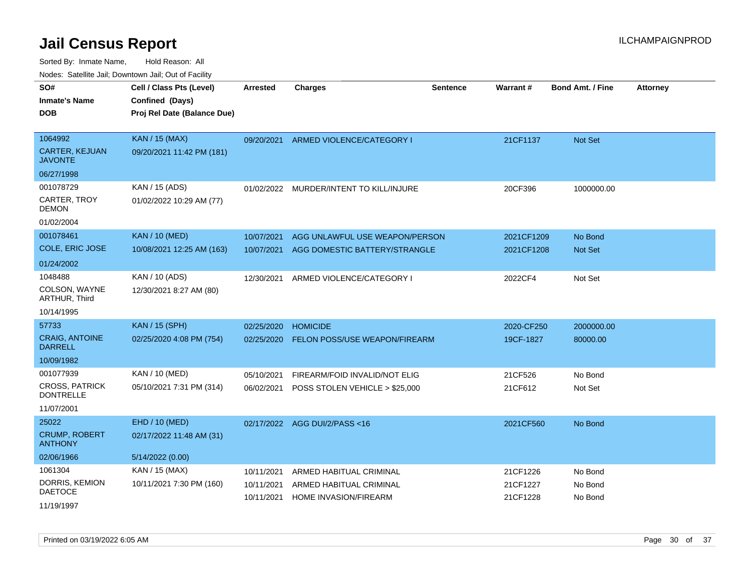| rouco. Calcinic Jan, Downtown Jan, Out of Facility |                                                                            |                          |                                                         |                 |                      |                         |                 |
|----------------------------------------------------|----------------------------------------------------------------------------|--------------------------|---------------------------------------------------------|-----------------|----------------------|-------------------------|-----------------|
| SO#<br>Inmate's Name<br><b>DOB</b>                 | Cell / Class Pts (Level)<br>Confined (Days)<br>Proj Rel Date (Balance Due) | <b>Arrested</b>          | <b>Charges</b>                                          | <b>Sentence</b> | Warrant#             | <b>Bond Amt. / Fine</b> | <b>Attorney</b> |
| 1064992<br><b>CARTER, KEJUAN</b><br>JAVONTE        | <b>KAN / 15 (MAX)</b><br>09/20/2021 11:42 PM (181)                         | 09/20/2021               | ARMED VIOLENCE/CATEGORY I                               |                 | 21CF1137             | Not Set                 |                 |
| 06/27/1998                                         |                                                                            |                          |                                                         |                 |                      |                         |                 |
| 001078729<br>CARTER, TROY<br>DEMON                 | KAN / 15 (ADS)<br>01/02/2022 10:29 AM (77)                                 |                          | 01/02/2022 MURDER/INTENT TO KILL/INJURE                 |                 | 20CF396              | 1000000.00              |                 |
| 01/02/2004                                         |                                                                            |                          |                                                         |                 |                      |                         |                 |
| 001078461                                          | <b>KAN / 10 (MED)</b>                                                      | 10/07/2021               | AGG UNLAWFUL USE WEAPON/PERSON                          |                 | 2021CF1209           | No Bond                 |                 |
| COLE, ERIC JOSE                                    | 10/08/2021 12:25 AM (163)                                                  | 10/07/2021               | AGG DOMESTIC BATTERY/STRANGLE                           |                 | 2021CF1208           | <b>Not Set</b>          |                 |
| 01/24/2002                                         |                                                                            |                          |                                                         |                 |                      |                         |                 |
| 1048488<br>COLSON, WAYNE<br><b>ARTHUR, Third</b>   | KAN / 10 (ADS)<br>12/30/2021 8:27 AM (80)                                  | 12/30/2021               | ARMED VIOLENCE/CATEGORY I                               |                 | 2022CF4              | Not Set                 |                 |
| 10/14/1995                                         |                                                                            |                          |                                                         |                 |                      |                         |                 |
| 57733                                              | <b>KAN / 15 (SPH)</b>                                                      | 02/25/2020               | <b>HOMICIDE</b>                                         |                 | 2020-CF250           | 2000000.00              |                 |
| <b>CRAIG, ANTOINE</b><br><b>DARRELL</b>            | 02/25/2020 4:08 PM (754)                                                   | 02/25/2020               | <b>FELON POSS/USE WEAPON/FIREARM</b>                    |                 | 19CF-1827            | 80000.00                |                 |
| 10/09/1982                                         |                                                                            |                          |                                                         |                 |                      |                         |                 |
| 001077939                                          | KAN / 10 (MED)                                                             | 05/10/2021               | FIREARM/FOID INVALID/NOT ELIG                           |                 | 21CF526              | No Bond                 |                 |
| <b>CROSS, PATRICK</b><br><b>DONTRELLE</b>          | 05/10/2021 7:31 PM (314)                                                   | 06/02/2021               | POSS STOLEN VEHICLE > \$25,000                          |                 | 21CF612              | Not Set                 |                 |
| 11/07/2001                                         |                                                                            |                          |                                                         |                 |                      |                         |                 |
| 25022                                              | EHD / 10 (MED)                                                             | 02/17/2022               | AGG DUI/2/PASS <16                                      |                 | 2021CF560            | No Bond                 |                 |
| <b>CRUMP, ROBERT</b><br><b>ANTHONY</b>             | 02/17/2022 11:48 AM (31)                                                   |                          |                                                         |                 |                      |                         |                 |
| 02/06/1966                                         | 5/14/2022 (0.00)                                                           |                          |                                                         |                 |                      |                         |                 |
| 1061304                                            | KAN / 15 (MAX)                                                             | 10/11/2021               | ARMED HABITUAL CRIMINAL                                 |                 | 21CF1226             | No Bond                 |                 |
| DORRIS, KEMION<br><b>DAETOCE</b>                   | 10/11/2021 7:30 PM (160)                                                   | 10/11/2021<br>10/11/2021 | ARMED HABITUAL CRIMINAL<br><b>HOME INVASION/FIREARM</b> |                 | 21CF1227<br>21CF1228 | No Bond<br>No Bond      |                 |
| 11/19/1997                                         |                                                                            |                          |                                                         |                 |                      |                         |                 |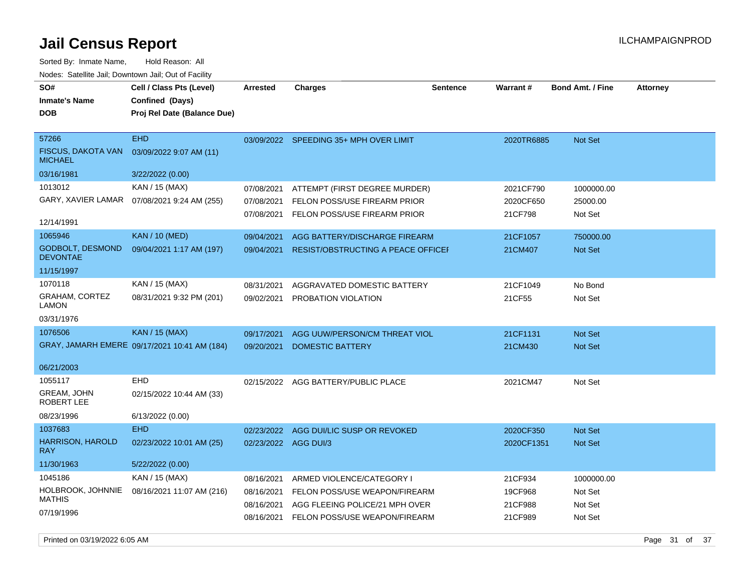**DOB SO# Inmate's Name Cell / Class Pts (Level) Arrested Charges Warrant # Bond Amt. / Fine Attorney Confined (Days) Proj Rel Date (Balance Due)** FISCUS, DAKOTA VAN 03/09/2022 9:07 AM (11) MICHAEL 57266 EHD 03/16/1981 3/22/2022 (0.00) 03/09/2022 SPEEDING 35+ MPH OVER LIMIT 2020TR6885 Not Set GARY, XAVIER LAMAR 1013012 KAN / 15 (MAX) 07/08/2021 9:24 AM (255) 12/14/1991 1065946 KAN / 10 (MED) Sorted By: Inmate Name, Hold Reason: All Nodes: Satellite Jail; Downtown Jail; Out of Facility

| <b>MICHAEL</b>                             |                                              |                      |                                           |            |                |
|--------------------------------------------|----------------------------------------------|----------------------|-------------------------------------------|------------|----------------|
| 03/16/1981                                 | 3/22/2022 (0.00)                             |                      |                                           |            |                |
| 1013012                                    | KAN / 15 (MAX)                               | 07/08/2021           | ATTEMPT (FIRST DEGREE MURDER)             | 2021CF790  | 1000000.00     |
|                                            | GARY, XAVIER LAMAR 07/08/2021 9:24 AM (255)  | 07/08/2021           | FELON POSS/USE FIREARM PRIOR              | 2020CF650  | 25000.00       |
|                                            |                                              | 07/08/2021           | FELON POSS/USE FIREARM PRIOR              | 21CF798    | Not Set        |
| 12/14/1991                                 |                                              |                      |                                           |            |                |
| 1065946                                    | <b>KAN / 10 (MED)</b>                        | 09/04/2021           | AGG BATTERY/DISCHARGE FIREARM             | 21CF1057   | 750000.00      |
| <b>GODBOLT, DESMOND</b><br><b>DEVONTAE</b> | 09/04/2021 1:17 AM (197)                     | 09/04/2021           | <b>RESIST/OBSTRUCTING A PEACE OFFICEF</b> | 21CM407    | <b>Not Set</b> |
| 11/15/1997                                 |                                              |                      |                                           |            |                |
| 1070118                                    | KAN / 15 (MAX)                               | 08/31/2021           | AGGRAVATED DOMESTIC BATTERY               | 21CF1049   | No Bond        |
| <b>GRAHAM, CORTEZ</b><br>LAMON             | 08/31/2021 9:32 PM (201)                     | 09/02/2021           | PROBATION VIOLATION                       | 21CF55     | Not Set        |
| 03/31/1976                                 |                                              |                      |                                           |            |                |
| 1076506                                    | <b>KAN / 15 (MAX)</b>                        | 09/17/2021           | AGG UUW/PERSON/CM THREAT VIOL             | 21CF1131   | <b>Not Set</b> |
|                                            | GRAY, JAMARH EMERE 09/17/2021 10:41 AM (184) | 09/20/2021           | <b>DOMESTIC BATTERY</b>                   | 21CM430    | <b>Not Set</b> |
| 06/21/2003                                 |                                              |                      |                                           |            |                |
| 1055117                                    | <b>EHD</b>                                   |                      |                                           |            |                |
| <b>GREAM, JOHN</b>                         |                                              | 02/15/2022           | AGG BATTERY/PUBLIC PLACE                  | 2021CM47   | Not Set        |
| <b>ROBERT LEE</b>                          | 02/15/2022 10:44 AM (33)                     |                      |                                           |            |                |
| 08/23/1996                                 | 6/13/2022 (0.00)                             |                      |                                           |            |                |
| 1037683                                    | <b>EHD</b>                                   | 02/23/2022           | AGG DUI/LIC SUSP OR REVOKED               | 2020CF350  | <b>Not Set</b> |
| HARRISON, HAROLD<br><b>RAY</b>             | 02/23/2022 10:01 AM (25)                     | 02/23/2022 AGG DUI/3 |                                           | 2020CF1351 | <b>Not Set</b> |
| 11/30/1963                                 | 5/22/2022 (0.00)                             |                      |                                           |            |                |
| 1045186                                    | KAN / 15 (MAX)                               | 08/16/2021           | ARMED VIOLENCE/CATEGORY I                 | 21CF934    | 1000000.00     |
| HOLBROOK, JOHNNIE                          | 08/16/2021 11:07 AM (216)                    | 08/16/2021           | FELON POSS/USE WEAPON/FIREARM             | 19CF968    | Not Set        |
| <b>MATHIS</b>                              |                                              | 08/16/2021           | AGG FLEEING POLICE/21 MPH OVER            | 21CF988    | Not Set        |
| 07/19/1996                                 |                                              | 08/16/2021           | FELON POSS/USE WEAPON/FIREARM             | 21CF989    | Not Set        |
|                                            |                                              |                      |                                           |            |                |

**Sentence**

Printed on 03/19/2022 6:05 AM **Page 31** of 37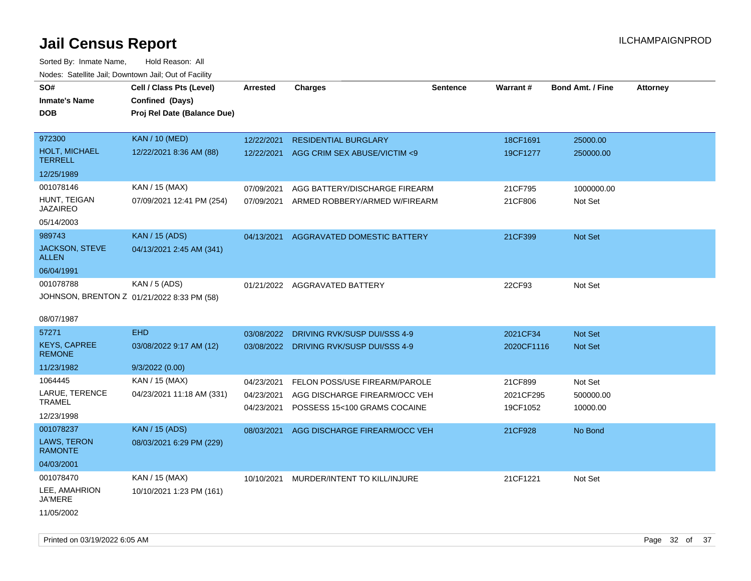| rouce. Calcinic Jan, Downtown Jan, Out or Facility                    |                                                                            |                                        |                                                                                                |                 |                                  |                                  |                 |
|-----------------------------------------------------------------------|----------------------------------------------------------------------------|----------------------------------------|------------------------------------------------------------------------------------------------|-----------------|----------------------------------|----------------------------------|-----------------|
| SO#<br>Inmate's Name<br>DOB                                           | Cell / Class Pts (Level)<br>Confined (Days)<br>Proj Rel Date (Balance Due) | <b>Arrested</b>                        | <b>Charges</b>                                                                                 | <b>Sentence</b> | Warrant#                         | <b>Bond Amt. / Fine</b>          | <b>Attorney</b> |
| 972300<br><b>HOLT, MICHAEL</b><br><b>TERRELL</b><br>12/25/1989        | <b>KAN / 10 (MED)</b><br>12/22/2021 8:36 AM (88)                           | 12/22/2021<br>12/22/2021               | <b>RESIDENTIAL BURGLARY</b><br>AGG CRIM SEX ABUSE/VICTIM <9                                    |                 | 18CF1691<br>19CF1277             | 25000.00<br>250000.00            |                 |
| 001078146<br>HUNT, TEIGAN<br><b>JAZAIREO</b><br>05/14/2003            | KAN / 15 (MAX)<br>07/09/2021 12:41 PM (254)                                | 07/09/2021<br>07/09/2021               | AGG BATTERY/DISCHARGE FIREARM<br>ARMED ROBBERY/ARMED W/FIREARM                                 |                 | 21CF795<br>21CF806               | 1000000.00<br>Not Set            |                 |
| 989743<br>JACKSON, STEVE<br><b>ALLEN</b><br>06/04/1991                | <b>KAN / 15 (ADS)</b><br>04/13/2021 2:45 AM (341)                          | 04/13/2021                             | AGGRAVATED DOMESTIC BATTERY                                                                    |                 | 21CF399                          | Not Set                          |                 |
| 001078788<br>JOHNSON, BRENTON Z 01/21/2022 8:33 PM (58)<br>08/07/1987 | KAN / 5 (ADS)                                                              |                                        | 01/21/2022 AGGRAVATED BATTERY                                                                  |                 | 22CF93                           | Not Set                          |                 |
| 57271<br><b>KEYS, CAPREE</b><br><b>REMONE</b><br>11/23/1982           | <b>EHD</b><br>03/08/2022 9:17 AM (12)<br>9/3/2022 (0.00)                   | 03/08/2022                             | DRIVING RVK/SUSP DUI/SSS 4-9<br>03/08/2022 DRIVING RVK/SUSP DUI/SSS 4-9                        |                 | 2021CF34<br>2020CF1116           | Not Set<br><b>Not Set</b>        |                 |
| 1064445<br>LARUE, TERENCE<br><b>TRAMEL</b><br>12/23/1998              | KAN / 15 (MAX)<br>04/23/2021 11:18 AM (331)                                | 04/23/2021<br>04/23/2021<br>04/23/2021 | FELON POSS/USE FIREARM/PAROLE<br>AGG DISCHARGE FIREARM/OCC VEH<br>POSSESS 15<100 GRAMS COCAINE |                 | 21CF899<br>2021CF295<br>19CF1052 | Not Set<br>500000.00<br>10000.00 |                 |
| 001078237<br>LAWS, TERON<br><b>RAMONTE</b><br>04/03/2001              | <b>KAN / 15 (ADS)</b><br>08/03/2021 6:29 PM (229)                          | 08/03/2021                             | AGG DISCHARGE FIREARM/OCC VEH                                                                  |                 | 21CF928                          | No Bond                          |                 |
| 001078470<br>LEE, AMAHRION<br>JA'MERE<br>11/05/2002                   | KAN / 15 (MAX)<br>10/10/2021 1:23 PM (161)                                 | 10/10/2021                             | MURDER/INTENT TO KILL/INJURE                                                                   |                 | 21CF1221                         | Not Set                          |                 |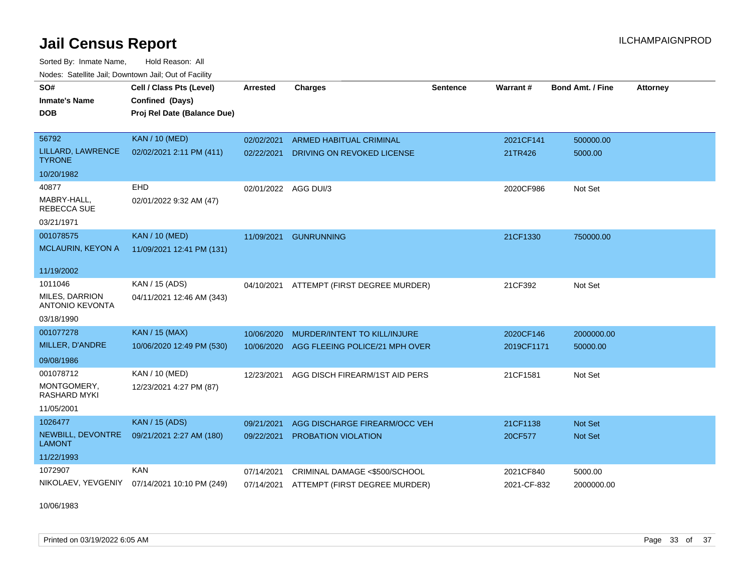Sorted By: Inmate Name, Hold Reason: All Nodes: Satellite Jail; Downtown Jail; Out of Facility

| SO#<br><b>Inmate's Name</b><br><b>DOB</b>       | Cell / Class Pts (Level)<br>Confined (Days)<br>Proj Rel Date (Balance Due) | Arrested             | <b>Charges</b>                 | <b>Sentence</b> | <b>Warrant#</b> | Bond Amt. / Fine | <b>Attorney</b> |
|-------------------------------------------------|----------------------------------------------------------------------------|----------------------|--------------------------------|-----------------|-----------------|------------------|-----------------|
| 56792                                           | <b>KAN / 10 (MED)</b>                                                      | 02/02/2021           | <b>ARMED HABITUAL CRIMINAL</b> |                 | 2021CF141       | 500000.00        |                 |
| LILLARD, LAWRENCE<br><b>TYRONE</b>              | 02/02/2021 2:11 PM (411)                                                   | 02/22/2021           | DRIVING ON REVOKED LICENSE     |                 | 21TR426         | 5000.00          |                 |
| 10/20/1982                                      |                                                                            |                      |                                |                 |                 |                  |                 |
| 40877                                           | EHD                                                                        | 02/01/2022 AGG DUI/3 |                                |                 | 2020CF986       | Not Set          |                 |
| MABRY-HALL,<br><b>REBECCA SUE</b>               | 02/01/2022 9:32 AM (47)                                                    |                      |                                |                 |                 |                  |                 |
| 03/21/1971                                      |                                                                            |                      |                                |                 |                 |                  |                 |
| 001078575                                       | <b>KAN / 10 (MED)</b>                                                      | 11/09/2021           | <b>GUNRUNNING</b>              |                 | 21CF1330        | 750000.00        |                 |
| <b>MCLAURIN, KEYON A</b>                        | 11/09/2021 12:41 PM (131)                                                  |                      |                                |                 |                 |                  |                 |
| 11/19/2002                                      |                                                                            |                      |                                |                 |                 |                  |                 |
| 1011046                                         | KAN / 15 (ADS)                                                             | 04/10/2021           | ATTEMPT (FIRST DEGREE MURDER)  |                 | 21CF392         | Not Set          |                 |
| <b>MILES, DARRION</b><br><b>ANTONIO KEVONTA</b> | 04/11/2021 12:46 AM (343)                                                  |                      |                                |                 |                 |                  |                 |
| 03/18/1990                                      |                                                                            |                      |                                |                 |                 |                  |                 |
| 001077278                                       | <b>KAN / 15 (MAX)</b>                                                      | 10/06/2020           | MURDER/INTENT TO KILL/INJURE   |                 | 2020CF146       | 2000000.00       |                 |
| MILLER, D'ANDRE                                 | 10/06/2020 12:49 PM (530)                                                  | 10/06/2020           | AGG FLEEING POLICE/21 MPH OVER |                 | 2019CF1171      | 50000.00         |                 |
| 09/08/1986                                      |                                                                            |                      |                                |                 |                 |                  |                 |
| 001078712                                       | KAN / 10 (MED)                                                             | 12/23/2021           | AGG DISCH FIREARM/1ST AID PERS |                 | 21CF1581        | Not Set          |                 |
| MONTGOMERY,<br><b>RASHARD MYKI</b>              | 12/23/2021 4:27 PM (87)                                                    |                      |                                |                 |                 |                  |                 |
| 11/05/2001                                      |                                                                            |                      |                                |                 |                 |                  |                 |
| 1026477                                         | <b>KAN / 15 (ADS)</b>                                                      | 09/21/2021           | AGG DISCHARGE FIREARM/OCC VEH  |                 | 21CF1138        | <b>Not Set</b>   |                 |
| NEWBILL, DEVONTRE<br>LAMONT                     | 09/21/2021 2:27 AM (180)                                                   | 09/22/2021           | <b>PROBATION VIOLATION</b>     |                 | 20CF577         | <b>Not Set</b>   |                 |
| 11/22/1993                                      |                                                                            |                      |                                |                 |                 |                  |                 |
| 1072907                                         | <b>KAN</b>                                                                 | 07/14/2021           | CRIMINAL DAMAGE <\$500/SCHOOL  |                 | 2021CF840       | 5000.00          |                 |
| NIKOLAEV, YEVGENIY                              | 07/14/2021 10:10 PM (249)                                                  | 07/14/2021           | ATTEMPT (FIRST DEGREE MURDER)  |                 | 2021-CF-832     | 2000000.00       |                 |

10/06/1983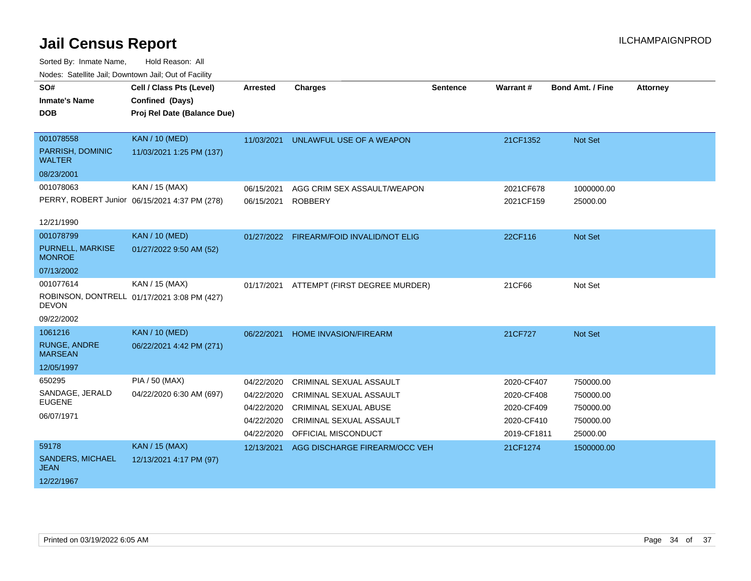| SO#<br><b>Inmate's Name</b><br><b>DOB</b>                      | Cell / Class Pts (Level)<br>Confined (Days)<br>Proj Rel Date (Balance Due) | <b>Arrested</b>                                                    | <b>Charges</b>                                                                                                                                            | <b>Sentence</b> | Warrant#                                                            | <b>Bond Amt. / Fine</b>                                      | <b>Attorney</b> |
|----------------------------------------------------------------|----------------------------------------------------------------------------|--------------------------------------------------------------------|-----------------------------------------------------------------------------------------------------------------------------------------------------------|-----------------|---------------------------------------------------------------------|--------------------------------------------------------------|-----------------|
| 001078558<br>PARRISH, DOMINIC<br><b>WALTER</b>                 | <b>KAN / 10 (MED)</b><br>11/03/2021 1:25 PM (137)                          | 11/03/2021                                                         | UNLAWFUL USE OF A WEAPON                                                                                                                                  |                 | 21CF1352                                                            | Not Set                                                      |                 |
| 08/23/2001<br>001078063<br>12/21/1990                          | KAN / 15 (MAX)<br>PERRY, ROBERT Junior 06/15/2021 4:37 PM (278)            | 06/15/2021<br>06/15/2021                                           | AGG CRIM SEX ASSAULT/WEAPON<br><b>ROBBERY</b>                                                                                                             |                 | 2021CF678<br>2021CF159                                              | 1000000.00<br>25000.00                                       |                 |
| 001078799<br>PURNELL, MARKISE<br><b>MONROE</b><br>07/13/2002   | <b>KAN / 10 (MED)</b><br>01/27/2022 9:50 AM (52)                           |                                                                    | 01/27/2022 FIREARM/FOID INVALID/NOT ELIG                                                                                                                  |                 | 22CF116                                                             | Not Set                                                      |                 |
| 001077614<br><b>DEVON</b><br>09/22/2002                        | KAN / 15 (MAX)<br>ROBINSON, DONTRELL 01/17/2021 3:08 PM (427)              | 01/17/2021                                                         | ATTEMPT (FIRST DEGREE MURDER)                                                                                                                             |                 | 21CF66                                                              | Not Set                                                      |                 |
| 1061216<br><b>RUNGE, ANDRE</b><br><b>MARSEAN</b><br>12/05/1997 | <b>KAN / 10 (MED)</b><br>06/22/2021 4:42 PM (271)                          | 06/22/2021                                                         | <b>HOME INVASION/FIREARM</b>                                                                                                                              |                 | 21CF727                                                             | Not Set                                                      |                 |
| 650295<br>SANDAGE, JERALD<br><b>EUGENE</b><br>06/07/1971       | <b>PIA / 50 (MAX)</b><br>04/22/2020 6:30 AM (697)                          | 04/22/2020<br>04/22/2020<br>04/22/2020<br>04/22/2020<br>04/22/2020 | <b>CRIMINAL SEXUAL ASSAULT</b><br><b>CRIMINAL SEXUAL ASSAULT</b><br><b>CRIMINAL SEXUAL ABUSE</b><br><b>CRIMINAL SEXUAL ASSAULT</b><br>OFFICIAL MISCONDUCT |                 | 2020-CF407<br>2020-CF408<br>2020-CF409<br>2020-CF410<br>2019-CF1811 | 750000.00<br>750000.00<br>750000.00<br>750000.00<br>25000.00 |                 |
| 59178<br><b>SANDERS, MICHAEL</b><br><b>JEAN</b><br>12/22/1967  | <b>KAN / 15 (MAX)</b><br>12/13/2021 4:17 PM (97)                           | 12/13/2021                                                         | AGG DISCHARGE FIREARM/OCC VEH                                                                                                                             |                 | 21CF1274                                                            | 1500000.00                                                   |                 |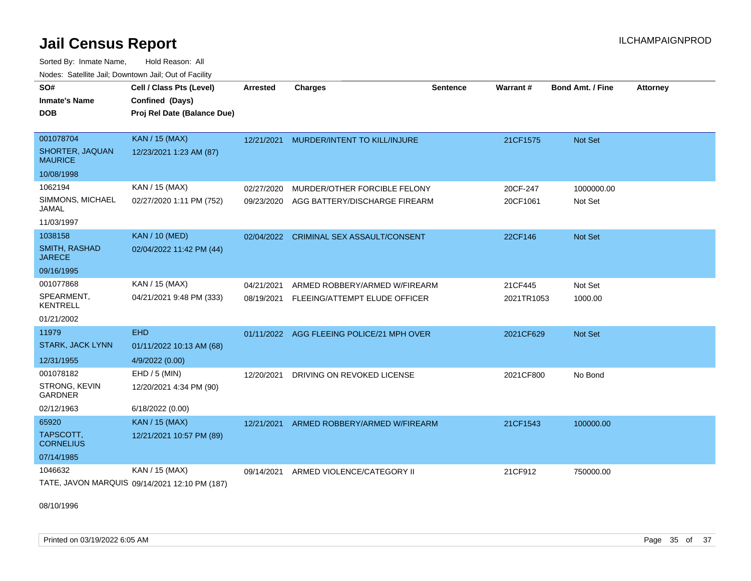Sorted By: Inmate Name, Hold Reason: All Nodes: Satellite Jail; Downtown Jail; Out of Facility

| SO#                                   |                                               |                 |                                     |                 |            |                         |                 |
|---------------------------------------|-----------------------------------------------|-----------------|-------------------------------------|-----------------|------------|-------------------------|-----------------|
|                                       | Cell / Class Pts (Level)                      | <b>Arrested</b> | <b>Charges</b>                      | <b>Sentence</b> | Warrant#   | <b>Bond Amt. / Fine</b> | <b>Attorney</b> |
| <b>Inmate's Name</b>                  | Confined (Days)                               |                 |                                     |                 |            |                         |                 |
| DOB                                   | Proj Rel Date (Balance Due)                   |                 |                                     |                 |            |                         |                 |
|                                       |                                               |                 |                                     |                 |            |                         |                 |
| 001078704                             | <b>KAN / 15 (MAX)</b>                         | 12/21/2021      | MURDER/INTENT TO KILL/INJURE        |                 | 21CF1575   | <b>Not Set</b>          |                 |
| SHORTER, JAQUAN<br><b>MAURICE</b>     | 12/23/2021 1:23 AM (87)                       |                 |                                     |                 |            |                         |                 |
| 10/08/1998                            |                                               |                 |                                     |                 |            |                         |                 |
| 1062194                               | KAN / 15 (MAX)                                | 02/27/2020      | MURDER/OTHER FORCIBLE FELONY        |                 | 20CF-247   | 1000000.00              |                 |
| SIMMONS, MICHAEL<br>JAMAL             | 02/27/2020 1:11 PM (752)                      | 09/23/2020      | AGG BATTERY/DISCHARGE FIREARM       |                 | 20CF1061   | Not Set                 |                 |
| 11/03/1997                            |                                               |                 |                                     |                 |            |                         |                 |
| 1038158                               | <b>KAN / 10 (MED)</b>                         | 02/04/2022      | <b>CRIMINAL SEX ASSAULT/CONSENT</b> |                 | 22CF146    | <b>Not Set</b>          |                 |
| <b>SMITH, RASHAD</b><br><b>JARECE</b> | 02/04/2022 11:42 PM (44)                      |                 |                                     |                 |            |                         |                 |
| 09/16/1995                            |                                               |                 |                                     |                 |            |                         |                 |
| 001077868                             | KAN / 15 (MAX)                                | 04/21/2021      | ARMED ROBBERY/ARMED W/FIREARM       |                 | 21CF445    | Not Set                 |                 |
| SPEARMENT,<br><b>KENTRELL</b>         | 04/21/2021 9:48 PM (333)                      | 08/19/2021      | FLEEING/ATTEMPT ELUDE OFFICER       |                 | 2021TR1053 | 1000.00                 |                 |
| 01/21/2002                            |                                               |                 |                                     |                 |            |                         |                 |
| 11979                                 | <b>EHD</b>                                    | 01/11/2022      | AGG FLEEING POLICE/21 MPH OVER      |                 | 2021CF629  | Not Set                 |                 |
| <b>STARK, JACK LYNN</b>               | 01/11/2022 10:13 AM (68)                      |                 |                                     |                 |            |                         |                 |
| 12/31/1955                            | 4/9/2022 (0.00)                               |                 |                                     |                 |            |                         |                 |
| 001078182                             | EHD / 5 (MIN)                                 | 12/20/2021      | DRIVING ON REVOKED LICENSE          |                 | 2021CF800  | No Bond                 |                 |
| STRONG, KEVIN<br><b>GARDNER</b>       | 12/20/2021 4:34 PM (90)                       |                 |                                     |                 |            |                         |                 |
| 02/12/1963                            | 6/18/2022 (0.00)                              |                 |                                     |                 |            |                         |                 |
| 65920                                 | <b>KAN / 15 (MAX)</b>                         | 12/21/2021      | ARMED ROBBERY/ARMED W/FIREARM       |                 | 21CF1543   | 100000.00               |                 |
| TAPSCOTT,<br><b>CORNELIUS</b>         | 12/21/2021 10:57 PM (89)                      |                 |                                     |                 |            |                         |                 |
| 07/14/1985                            |                                               |                 |                                     |                 |            |                         |                 |
| 1046632                               | KAN / 15 (MAX)                                | 09/14/2021      | ARMED VIOLENCE/CATEGORY II          |                 | 21CF912    | 750000.00               |                 |
|                                       | TATE, JAVON MARQUIS 09/14/2021 12:10 PM (187) |                 |                                     |                 |            |                         |                 |

08/10/1996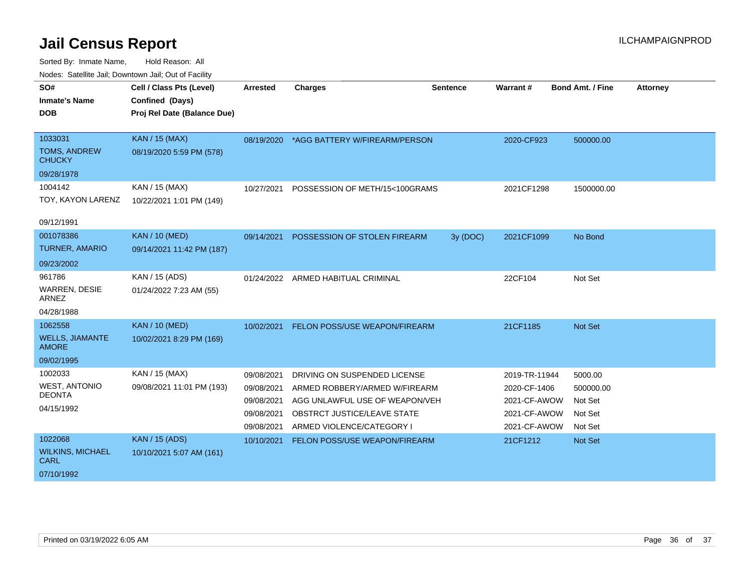| SO#                                    | Cell / Class Pts (Level)    | <b>Arrested</b> | <b>Charges</b>                           | <b>Sentence</b> | <b>Warrant#</b> | <b>Bond Amt. / Fine</b> | <b>Attorney</b> |
|----------------------------------------|-----------------------------|-----------------|------------------------------------------|-----------------|-----------------|-------------------------|-----------------|
| <b>Inmate's Name</b>                   | Confined (Days)             |                 |                                          |                 |                 |                         |                 |
| <b>DOB</b>                             | Proj Rel Date (Balance Due) |                 |                                          |                 |                 |                         |                 |
|                                        |                             |                 |                                          |                 |                 |                         |                 |
| 1033031                                | <b>KAN / 15 (MAX)</b>       |                 | 08/19/2020 *AGG BATTERY W/FIREARM/PERSON |                 | 2020-CF923      | 500000.00               |                 |
| <b>TOMS, ANDREW</b><br><b>CHUCKY</b>   | 08/19/2020 5:59 PM (578)    |                 |                                          |                 |                 |                         |                 |
| 09/28/1978                             |                             |                 |                                          |                 |                 |                         |                 |
| 1004142                                | KAN / 15 (MAX)              | 10/27/2021      | POSSESSION OF METH/15<100GRAMS           |                 | 2021CF1298      | 1500000.00              |                 |
| TOY, KAYON LARENZ                      | 10/22/2021 1:01 PM (149)    |                 |                                          |                 |                 |                         |                 |
|                                        |                             |                 |                                          |                 |                 |                         |                 |
| 09/12/1991                             |                             |                 |                                          |                 |                 |                         |                 |
| 001078386                              | <b>KAN / 10 (MED)</b>       | 09/14/2021      | POSSESSION OF STOLEN FIREARM             | 3y (DOC)        | 2021CF1099      | No Bond                 |                 |
| <b>TURNER, AMARIO</b>                  | 09/14/2021 11:42 PM (187)   |                 |                                          |                 |                 |                         |                 |
| 09/23/2002                             |                             |                 |                                          |                 |                 |                         |                 |
| 961786                                 | KAN / 15 (ADS)              |                 | 01/24/2022 ARMED HABITUAL CRIMINAL       |                 | 22CF104         | Not Set                 |                 |
| <b>WARREN, DESIE</b><br>ARNEZ          | 01/24/2022 7:23 AM (55)     |                 |                                          |                 |                 |                         |                 |
| 04/28/1988                             |                             |                 |                                          |                 |                 |                         |                 |
| 1062558                                | <b>KAN / 10 (MED)</b>       | 10/02/2021      | FELON POSS/USE WEAPON/FIREARM            |                 | 21CF1185        | Not Set                 |                 |
| <b>WELLS, JIAMANTE</b><br><b>AMORE</b> | 10/02/2021 8:29 PM (169)    |                 |                                          |                 |                 |                         |                 |
| 09/02/1995                             |                             |                 |                                          |                 |                 |                         |                 |
| 1002033                                | KAN / 15 (MAX)              | 09/08/2021      | DRIVING ON SUSPENDED LICENSE             |                 | 2019-TR-11944   | 5000.00                 |                 |
| <b>WEST, ANTONIO</b>                   | 09/08/2021 11:01 PM (193)   | 09/08/2021      | ARMED ROBBERY/ARMED W/FIREARM            |                 | 2020-CF-1406    | 500000.00               |                 |
| <b>DEONTA</b>                          |                             | 09/08/2021      | AGG UNLAWFUL USE OF WEAPON/VEH           |                 | 2021-CF-AWOW    | Not Set                 |                 |
| 04/15/1992                             |                             | 09/08/2021      | OBSTRCT JUSTICE/LEAVE STATE              |                 | 2021-CF-AWOW    | Not Set                 |                 |
|                                        |                             | 09/08/2021      | ARMED VIOLENCE/CATEGORY I                |                 | 2021-CF-AWOW    | Not Set                 |                 |
| 1022068                                | <b>KAN / 15 (ADS)</b>       | 10/10/2021      | FELON POSS/USE WEAPON/FIREARM            |                 | 21CF1212        | Not Set                 |                 |
| <b>WILKINS, MICHAEL</b><br><b>CARL</b> | 10/10/2021 5:07 AM (161)    |                 |                                          |                 |                 |                         |                 |
| 07/10/1992                             |                             |                 |                                          |                 |                 |                         |                 |